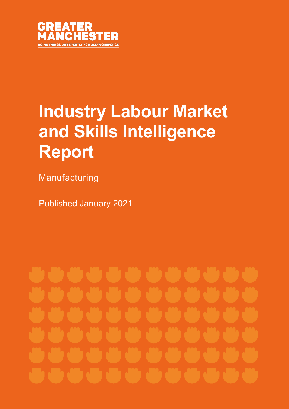

# **Industry Labour Market and Skills Intelligence Report**

Manufacturing

Published January 2021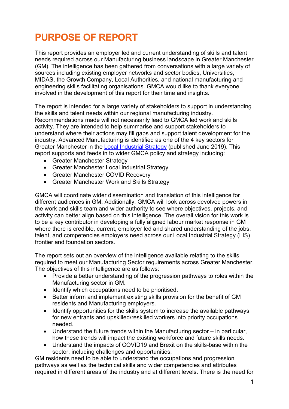## **PURPOSE OF REPORT**

This report provides an employer led and current understanding of skills and talent needs required across our Manufacturing business landscape in Greater Manchest er (GM). The intelligence has been gathered from conversations with a large variety of sources including existing employer networks and sector bodies, Universities, MIDAS, the Growth Company, Local Authorities, and national manufacturing and engineering skills facilitating organisations. GMCA would like to thank everyone involved in the development of this report for their time and insights.

The report is intended for a large variety of stakeholders to support in understandin g the skills and talent needs within our regional manufacturing industry. Recommendations made will not necessarily lead to GMCA led work and skills activity. They are intended to help summarise and support stakeholders to understand where their actions may fill gaps and support talent development for the industry. Advanced Manufacturing is identified as one of the 4 key sectors for Greater Manchester in the [Local Industrial Strategy](https://www.greatermanchester-ca.gov.uk/media/2132/gm-local-industrial-strategy-web.pdf) (published June 2019). This report supports and feeds in to wider GMCA policy and strategy including:

- Greater Manchester Strategy
- Greater Manchester Local Industrial Strategy
- Greater Manchester COVID Recovery
- Greater Manchester Work and Skills Strategy

GMCA will coordinate wider dissemination and translation of this intelligence for different audiences in GM. Additionally, GMCA will look across devolved powers in the work and skills team and wider authority to see where objectives, projects, and activity can better align based on this intelligence. The overall vision for this work is to be a key contributor in developing a fully aligned labour market response in GM where there is credible, current, employer led and shared understanding of the jobs, talent, and competencies employers need across our Local Industrial Strategy (LIS) frontier and foundation sectors.

The report sets out an overview of the intelligence available relating to the skills required to meet our Manufacturing Sector requirements across Greater Manchester. The objectives of this intelligence are as follows:

- Provide a better understanding of the progression pathways to roles within the Manufacturing sector in GM.
- Identify which occupations need to be prioritised.
- Better inform and implement existing skills provision for the benefit of GM residents and Manufacturing employers.
- Identify opportunities for the skills system to increase the available pathways for new entrants and upskilled/reskilled workers into priority occupations needed.
- Understand the future trends within the Manufacturing sector in particular, how these trends will impact the existing workforce and future skills needs.
- Understand the impacts of COVID19 and Brexit on the skills-base within the sector, including challenges and opportunities.

GM residents need to be able to understand the occupations and progression pathways as well as the technical skills and wider competencies and attributes required in different areas of the industry and at different levels. There is the need for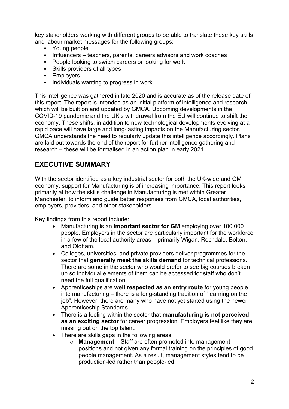key stakeholders working with different groups to be able to translate these key skills and labour market messages for the following groups:

- Young people
- Influencers teachers, parents, careers advisors and work coaches
- People looking to switch careers or looking for work
- Skills providers of all types
- Employers
- Individuals wanting to progress in work

This intelligence was gathered in late 2020 and is accurate as of the release date of this report. The report is intended as an initial platform of intelligence and research, which will be built on and updated by GMCA. Upcoming developments in the COVID-19 pandemic and the UK's withdrawal from the EU will continue to shift the economy. These shifts, in addition to new technological developments evolving at a rapid pace will have large and long-lasting impacts on the Manufacturing sector. GMCA understands the need to regularly update this intelligence accordingly. Plans are laid out towards the end of the report for further intelligence gathering and research – these will be formalised in an action plan in early 2021.

#### **EXECUTIVE SUMMARY**

With the sector identified as a key industrial sector for both the UK-wide and GM economy, support for Manufacturing is of increasing importance. This report looks primarily at how the skills challenge in Manufacturing is met within Greater Manchester, to inform and guide better responses from GMCA, local authorities, employers, providers, and other stakeholders.

Key findings from this report include:

- Manufacturing is an **important sector for GM** employing over 100,000 people. Employers in the sector are particularly important for the workforce in a few of the local authority areas – primarily Wigan, Rochdale, Bolton, and Oldham.
- Colleges, universities, and private providers deliver programmes for the sector that **generally meet the skills demand** for technical professions. There are some in the sector who would prefer to see big courses broken up so individual elements of them can be accessed for staff who don't need the full qualification.
- Apprenticeships are **well respected as an entry route** for young people into manufacturing – there is a long-standing tradition of "learning on the job". However, there are many who have not yet started using the newer Apprenticeship Standards.
- There is a feeling within the sector that **manufacturing is not perceived as an exciting sector** for career progression. Employers feel like they are missing out on the top talent.
- There are skills gaps in the following areas:
	- o **Management**  Staff are often promoted into management positions and not given any formal training on the principles of good people management. As a result, management styles tend to be production-led rather than people-led.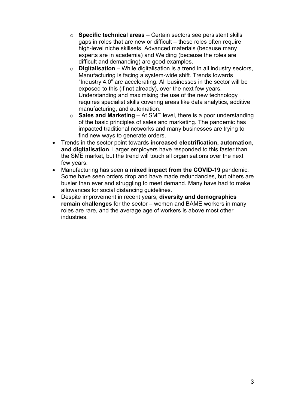- o **Specific technical areas**  Certain sectors see persistent skills gaps in roles that are new or difficult – these roles often require high-level niche skillsets. Advanced materials (because many experts are in academia) and Welding (because the roles are difficult and demanding) are good examples.
- o **Digitalisation**  While digitalisation is a trend in all industry sectors, Manufacturing is facing a system-wide shift. Trends towards "Industry 4.0" are accelerating. All businesses in the sector will be exposed to this (if not already), over the next few years. Understanding and maximising the use of the new technology requires specialist skills covering areas like data analytics, additive manufacturing, and automation.
- o **Sales and Marketing**  At SME level, there is a poor understanding of the basic principles of sales and marketing. The pandemic has impacted traditional networks and many businesses are trying to find new ways to generate orders.
- Trends in the sector point towards **increased electrification, automation, and digitalisation**. Larger employers have responded to this faster than the SME market, but the trend will touch all organisations over the next few years.
- Manufacturing has seen a **mixed impact from the COVID-19** pandemic. Some have seen orders drop and have made redundancies, but others are busier than ever and struggling to meet demand. Many have had to make allowances for social distancing guidelines.
- Despite improvement in recent years, **diversity and demographics remain challenges** for the sector – women and BAME workers in many roles are rare, and the average age of workers is above most other industries.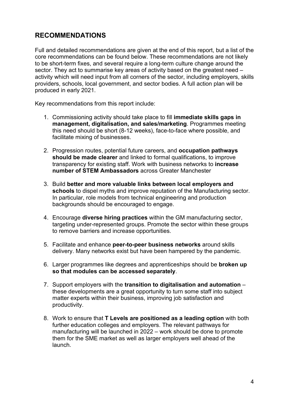#### **RECOMMENDATIONS**

Full and detailed recommendations are given at the end of this report, but a list of the core recommendations can be found below. These recommendations are not likely to be short-term fixes, and several require a long-term culture change around the sector. They act to summarise key areas of activity based on the greatest need – activity which will need input from all corners of the sector, including employers, skills providers, schools, local government, and sector bodies. A full action plan will be produced in early 2021.

Key recommendations from this report include:

- 1. Commissioning activity should take place to fill **immediate skills gaps in management, digitalisation, and sales/marketing**. Programmes meeting this need should be short (8-12 weeks), face-to-face where possible, and facilitate mixing of businesses.
- 2. Progression routes, potential future careers, and **occupation pathways should be made clearer** and linked to formal qualifications, to improve transparency for existing staff. Work with business networks to **increase number of STEM Ambassadors** across Greater Manchester
- 3. Build **better and more valuable links between local employers and schools** to dispel myths and improve reputation of the Manufacturing sector. In particular, role models from technical engineering and production backgrounds should be encouraged to engage.
- 4. Encourage **diverse hiring practices** within the GM manufacturing sector, targeting under-represented groups. Promote the sector within these groups to remove barriers and increase opportunities.
- 5. Facilitate and enhance **peer-to-peer business networks** around skills delivery. Many networks exist but have been hampered by the pandemic.
- 6. Larger programmes like degrees and apprenticeships should be **broken up so that modules can be accessed separately**.
- 7. Support employers with the **transition to digitalisation and automation** these developments are a great opportunity to turn some staff into subject matter experts within their business, improving job satisfaction and productivity.
- 8. Work to ensure that **T Levels are positioned as a leading option** with both further education colleges and employers. The relevant pathways for manufacturing will be launched in 2022 – work should be done to promote them for the SME market as well as larger employers well ahead of the launch.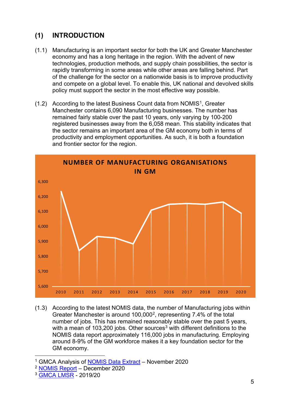### **(1) INTRODUCTION**

- (1.1) Manufacturing is an important sector for both the UK and Greater Manchester economy and has a long heritage in the region. With the advent of new technologies, production methods, and supply chain possibilities, the sector is rapidly transforming in some areas while other areas are falling behind. Part of the challenge for the sector on a nationwide basis is to improve productivity and compete on a global level. To enable this, UK national and devolved skills policy must support the sector in the most effective way possibl e.
- ([1](#page-5-0).2) According to the latest Business Count data from NOMIS<sup>1</sup>, Greater Manchester contains 6,090 Manufacturing businesses. The number has remained fairly stable over the past 10 years, only varying by 100-200 registered businesses away from the 6,058 mean. This stability indicates that the sector remains an important area of the GM economy both in terms of productivity and employment opportunities. As such, it is both a foundation and frontier sector for the region.



(1.3) According to the latest NOMIS data, the number of Manufacturing jobs within Greater Manchester is around 100,000[2](#page-5-1), representing 7.4% of the total number of jobs. This has remained reasonably stable over the past 5 years, with a mean of 10[3](#page-5-2),200 jobs. Other sources<sup>3</sup> with different definitions to the NOMIS data report approximately 116,000 jobs in manufacturing. Employing around 8-9% of the GM workforce makes it a key foundation sector for the GM economy.

<span id="page-5-0"></span><sup>&</sup>lt;sup>1</sup> GMCA Analysis of [NOMIS Data Extract](https://www.nomisweb.co.uk/sources/aps) - November 2020

<span id="page-5-1"></span><sup>2</sup> [NOMIS Report](https://www.nomisweb.co.uk/reports/lmp/comb/1853882369/report.aspx) – December 2020

<span id="page-5-2"></span><sup>3</sup> [GMCA LMSR](https://www.greatermanchester-ca.gov.uk/what-we-do/research/research-work-and-skills/labour-market-and-skills-review/) - 2019/20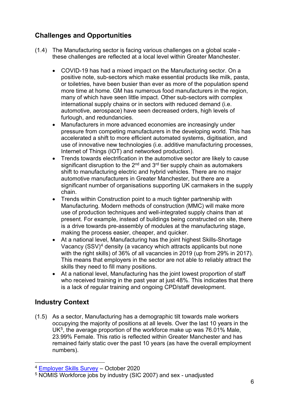## **Challenges and Opportunities**

- (1.4) The Manufacturing sector is facing various challenges on a global scale these challenges are reflected at a local level within Greater Manchester.
	- COVID-19 has had a mixed impact on the Manufacturing sector. On a positive note, sub-sectors which make essential products like milk, pasta, or toiletries, have been busier than ever as more of the population spend more time at home. GM has numerous food manufacturers in the region, many of which have seen little impact. Other sub-sectors with complex international supply chains or in sectors with reduced demand (i.e. automotive, aerospace) have seen decreased orders, high levels of furlough, and redundancies.
	- Manufacturers in more advanced economies are increasingly under pressure from competing manufacturers in the developing world. This has accelerated a shift to more efficient automated systems, digitisation, and use of innovative new technologies (i.e. additive manufacturing processes, Internet of Things (IOT) and networked production).
	- Trends towards electrification in the automotive sector are likely to cause significant disruption to the  $2^{nd}$  and  $3^{rd}$  tier supply chain as automakers shift to manufacturing electric and hybrid vehicles. There are no major automotive manufacturers in Greater Manchester, but there are a significant number of organisations supporting UK carmakers in the supply chain.
	- Trends within Construction point to a much tighter partnership with Manufacturing. Modern methods of construction (MMC) will make more use of production techniques and well-integrated supply chains than at present. For example, instead of buildings being constructed on site, there is a drive towards pre-assembly of modules at the manufacturing stage, making the process easier, cheaper, and quicker.
	- At a national level, Manufacturing has the joint highest Skills-Shortage Vacancy  $(SSV)^4$  $(SSV)^4$  density (a vacancy which attracts applicants but none with the right skills) of 36% of all vacancies in 2019 (up from 29% in 2017). This means that employers in the sector are not able to reliably attract the skills they need to fill many positions.
	- At a national level, Manufacturing has the joint lowest proportion of staff who received training in the past year at just 48%. This indicates that there is a lack of regular training and ongoing CPD/staff development.

## **Industry Context**

(1.5) As a sector, Manufacturing has a demographic tilt towards male workers occupying the majority of positions at all levels. Over the last 10 years in the UK $<sup>5</sup>$ , the average proportion of the workforce make up was 76.01% Male,</sup> 23.99% Female. This ratio is reflected within Greater Manchester and has remained fairly static over the past 10 years (as have the overall employment numbers).

<span id="page-6-0"></span><sup>4</sup> [Employer Skills Survey](https://assets.publishing.service.gov.uk/government/uploads/system/uploads/attachment_data/file/929579/Employer_skills_survey_2019.pdf) – October 2020

<span id="page-6-1"></span><sup>5</sup> NOMIS Workforce jobs by industry (SIC 2007) and sex - unadjusted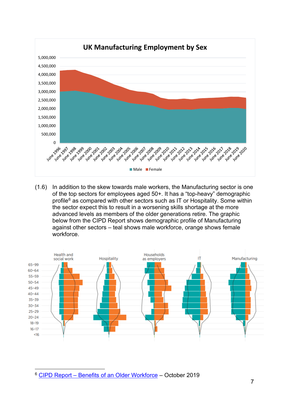

(1.6) In addition to the skew towards male workers, the Manufacturing sector is one of the top sectors for employees aged 50+. It has a "top-heavy" demographic profile $6$  as compared with other sectors such as IT or Hospitality. Some within the sector expect this to result in a worsening skills shortage at the more advanced levels as members of the older generations retire. The graphic below from the CIPD Report shows demographic profile of Manufacturing against other sectors – teal shows male workforce, orange shows female workforce.



<span id="page-7-0"></span><sup>6</sup> [CIPD Report – Benefits of an Older Workforce](https://www.cipd.co.uk/Images/megatrends-ageing-gracefully-the-opportunities-of-an-older-workforce-1_tcm18-64897.pdf) – October 2019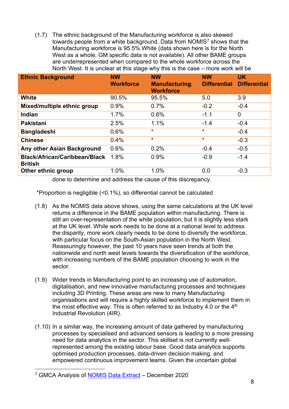(1.7) The ethnic background of the Manufacturing workforce is also skewed towards people from a white background. Data from NOMIS[7](#page-8-0) shows that the Manufacturing workforce is 95.5% White (data shown here is for the North West as a whole, GM specific data is not available). All other BAME groups are underrepresented when compared to the whole workforce across the North West. It is unclear at this stage why this is the case – more work will be

| <b>Ethnic Background</b>                               | <b>NW</b><br><b>Workforce</b> | <b>NW</b><br><b>Manufacturing</b><br><b>Workforce</b> | <b>NW</b><br><b>Differential</b> | <b>UK</b><br><b>Differential</b> |
|--------------------------------------------------------|-------------------------------|-------------------------------------------------------|----------------------------------|----------------------------------|
| White                                                  | 90.5%                         | 95.5%                                                 | 5.0                              | 3.9                              |
| Mixed/multiple ethnic group                            | 0.9%                          | 0.7%                                                  | $-0.2$                           | $-0.4$                           |
| Indian                                                 | 1.7%                          | 0.6%                                                  | $-1.1$                           | $\mathbf 0$                      |
| <b>Pakistani</b>                                       | 2.5%                          | 1.1%                                                  | $-1.4$                           | $-0.4$                           |
| <b>Bangladeshi</b>                                     | 0.6%                          | $\star$                                               | $\star$                          | $-0.4$                           |
| <b>Chinese</b>                                         | 0.4%                          | $\star$                                               | $\star$                          | $-0.3$                           |
| Any other Asian Background                             | 0.6%                          | 0.2%                                                  | $-0.4$                           | $-0.5$                           |
| <b>Black/African/Caribbean/Black</b><br><b>British</b> | 1.8%                          | 0.9%                                                  | $-0.9$                           | $-1.4$                           |
| Other ethnic group                                     | 1.0%<br>.<br>$\sim$ $\sim$    | 1.0%                                                  | 0.0                              | $-0.3$                           |

done to determine and address the cause of this discrepancy.

\*Proportion is negligible (<0.1%), so differential cannot be calculated

- (1.8) As the NOMIS data above shows, using the same calculations at the UK level returns a difference in the BAME population within manufacturing. There is still an over-representation of the white population, but it is slightly less stark at the UK level. While work needs to be done at a national level to address the disparity, more work clearly needs to be done to diversify the workforce, with particular focus on the South-Asian population in the North West. Reassuringly however, the past 10 years have seen trends at both the nationwide and north west levels towards the diversification of the workforce, with increasing numbers of the BAME population choosing to work in the sector.
- (1.9) Wider trends in Manufacturing point to an increasing use of automation, digitalisation, and new innovative manufacturing processes and techniques including 3D Printing. These areas are new to many Manufacturing organisations and will require a highly skilled workforce to implement them in the most effective way. This is often referred to as Industry 4.0 or the  $4<sup>th</sup>$ Industrial Revolution (4IR).
- (1.10) In a similar way, the increasing amount of data gathered by manufacturing processes by specialised and advanced sensors is leading to a more pressing need for data analytics in the sector. This skillset is not currently wellrepresented among the existing labour base. Good data analytics supports optimised production processes, data-driven decision making, and empowered continuous improvement teams. Given the uncertain global

<span id="page-8-0"></span><sup>&</sup>lt;sup>7</sup> GMCA Analysis of **NOMIS Data Extract** – December 2020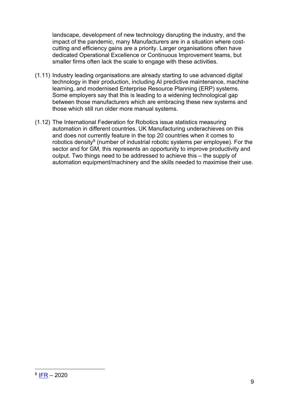landscape, development of new technology disrupting the industry, and the impact of the pandemic, many Manufacturers are in a situation where costcutting and efficiency gains are a priority. Larger organisations often have dedicated Operational Excellence or Continuous Improvement teams, but smaller firms often lack the scale to engage with these activities.

- (1.11) Industry leading organisations are already starting to use advanced digital technology in their production, including AI predictive maintenance, machine learning, and modernised Enterprise Resource Planning (ERP) systems. Some employers say that this is leading to a widening technological gap between those manufacturers which are embracing these new systems and those which still run older more manual systems.
- <span id="page-9-0"></span>(1.12) The International Federation for Robotics issue statistics measuring automation in different countries. UK Manufacturing underachieves on this and does not currently feature in the top 20 countries when it comes to robotics density $8$  (number of industrial robotic systems per employee). For the sector and for GM, this represents an opportunity to improve productivity and output. Two things need to be addressed to achieve this – the supply of automation equipment/machinery and the skills needed to maximise their use.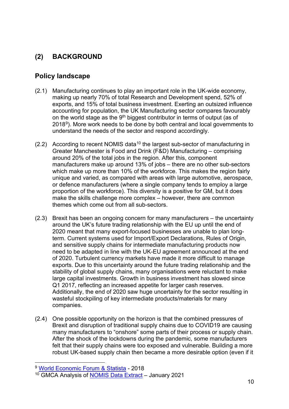## **(2) BACKGROUND**

#### **Policy landscape**

- (2.1) Manufacturing continues to play an important role in the UK-wide economy, making up nearly 70% of total Research and Development spend, 52% of exports, and 15% of total business investment. Exerting an outsized influence accounting for population, the UK Manufacturing sector compares favourably on the world stage as the  $9<sup>th</sup>$  biggest contributor in terms of output (as of 2018[9\)](#page-10-0). More work needs to be done by both central and local governments to understand the needs of the sector and respond accordingly.
- $(2.2)$  According to recent NOMIS data<sup>[10](#page-10-1)</sup> the largest sub-sector of manufacturing in Greater Manchester is Food and Drink (F&D) Manufacturing – comprising around 20% of the total jobs in the region. After this, component manufacturers make up around 13% of jobs – there are no other sub-sectors which make up more than 10% of the workforce. This makes the region fairly unique and varied, as compared with areas with large automotive, aerospace, or defence manufacturers (where a single company tends to employ a large proportion of the workforce). This diversity is a positive for GM, but it does make the skills challenge more complex – however, there are common themes which come out from all sub-sectors.
- (2.3) Brexit has been an ongoing concern for many manufacturers the uncertainty around the UK's future trading relationship with the EU up until the end of 2020 meant that many export-focused businesses are unable to plan longterm. Current systems used for Import/Export Declarations, Rules of Origin, and sensitive supply chains for intermediate manufacturing products now need to be adapted in line with the UK-EU agreement announced at the end of 2020. Turbulent currency markets have made it more difficult to manage exports. Due to this uncertainty around the future trading relationship and the stability of global supply chains, many organisations were reluctant to make large capital investments. Growth in business investment has slowed since Q1 2017, reflecting an increased appetite for larger cash reserves. Additionally, the end of 2020 saw huge uncertainty for the sector resulting in wasteful stockpiling of key intermediate products/materials for many companies.
- (2.4) One possible opportunity on the horizon is that the combined pressures of Brexit and disruption of traditional supply chains due to COVID19 are causing many manufacturers to "onshore" some parts of their process or supply chain. After the shock of the lockdowns during the pandemic, some manufacturers felt that their supply chains were too exposed and vulnerable. Building a more robust UK-based supply chain then became a more desirable option (even if it

<span id="page-10-0"></span><sup>9</sup> [World Economic Forum & Statista](https://www.weforum.org/agenda/2020/02/countries-manufacturing-trade-exports-economics/) - 2018

<span id="page-10-1"></span><sup>10</sup> GMCA Analysis of [NOMIS Data Extract](https://www.nomisweb.co.uk/sources/aps) – January 2021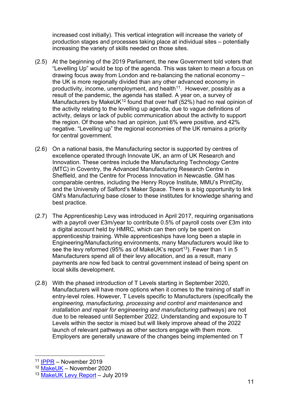increased cost initially). This vertical integration will increase the variety of production stages and processes taking place at individual sites – potentially increasing the variety of skills needed on those sites.

- (2.5) At the beginning of the 2019 Parliament, the new Government told voters that "Levelling Up" would be top of the agenda. This was taken to mean a focus on drawing focus away from London and re-balancing the national economy – the UK is more regionally divided than any other advanced economy in productivity, income, unemployment, and health<sup>11</sup>. However, possibly as a result of the pandemic, the agenda has stalled. A year on, a survey of Manufacturers by MakeUK<sup>[12](#page-11-1)</sup> found that over half (52%) had no real opinion of the activity relating to the levelling up agenda, due to vague definitions of activity, delays or lack of public communication about the activity to support the region. Of those who had an opinion, just 6% were positive, and 42% negative. "Levelling up" the regional economies of the UK remains a priority for central government.
- (2.6) On a national basis, the Manufacturing sector is supported by centres of excellence operated through Innovate UK, an arm of UK Research and Innovation. These centres include the Manufacturing Technology Centre (MTC) in Coventry, the Advanced Manufacturing Research Centre in Sheffield, and the Centre for Process Innovation in Newcastle. GM has comparable centres, including the Henry Royce Institute, MMU's PrintCity, and the University of Salford's Maker Space. There is a big opportunity to link GM's Manufacturing base closer to these institutes for knowledge sharing and best practice.
- (2.7) The Apprenticeship Levy was introduced in April 2017, requiring organisations with a payroll over £3m/year to contribute 0.5% of payroll costs over £3m into a digital account held by HMRC, which can then only be spent on apprenticeship training. While apprenticeships have long been a staple in Engineering/Manufacturing environments, many Manufacturers would like to see the levy reformed (95% as of MakeUK's report<sup>[13](#page-11-2)</sup>). Fewer than 1 in 5 Manufacturers spend all of their levy allocation, and as a result, many payments are now fed back to central government instead of being spent on local skills development.
- (2.8) With the phased introduction of T Levels starting in September 2020, Manufacturers will have more options when it comes to the training of staff in entry-level roles. However, T Levels specific to Manufacturers (specifically the *engineering, manufacturing, processing and control and maintenance* and *installation and repair for engineering and manufacturing pathways)* are not due to be released until September 2022. Understanding and exposure to T Levels within the sector is mixed but will likely improve ahead of the 2022 launch of relevant pathways as other sectors engage with them more. Employers are generally unaware of the changes being implemented on T

<span id="page-11-0"></span><sup>11</sup> [IPPR](https://www.ippr.org/research/publications/state-of-the-north-2019) – November 2019

<sup>12</sup> [MakeUK](https://www.makeuk.org/insights/reports/reviving-and-rebalancing-regional-economies-through-manufacturing) – November 2020

<span id="page-11-2"></span><span id="page-11-1"></span><sup>13</sup> [MakeUK Levy Report](https://www.makeuk.org/insights/reports/an-unlevy-playing-field-for-manufacturers) - July 2019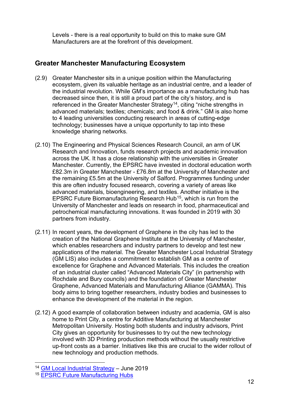Levels - there is a real opportunity to build on this to make sure GM Manufacturers are at the forefront of this development.

#### **Greater Manchester Manufacturing Ecosystem**

- (2.9) Greater Manchester sits in a unique position within the Manufacturing ecosystem, given its valuable heritage as an industrial centre, and a leader of the industrial revolution. While GM's importance as a manufacturing hub has decreased since then, it is still a proud part of the city's history, and is referenced in the Greater Manchester Strategy<sup>14</sup>, citing "niche strengths in advanced materials; textiles; chemicals; and food & drink." GM is also home to 4 leading universities conducting research in areas of cutting-edge technology; businesses have a unique opportunity to tap into these knowledge sharing networks.
- (2.10) The Engineering and Physical Sciences Research Council, an arm of UK Research and Innovation, funds research projects and academic innovation across the UK. It has a close relationship with the universities in Greater Manchester. Currently, the EPSRC have invested in doctoral education worth £82.3m in Greater Manchester - £76.8m at the University of Manchester and the remaining £5.5m at the University of Salford. Programmes funding under this are often industry focused research, covering a variety of areas like advanced materials, bioengineering, and textiles. Another initiative is the EPSRC Future Biomanufacturing Research Hub[15,](#page-12-1) which is run from the University of Manchester and leads on research in food, pharmaceutical and petrochemical manufacturing innovations. It was founded in 2019 with 30 partners from industry.
- (2.11) In recent years, the development of Graphene in the city has led to the creation of the National Graphene Institute at the University of Manchester, which enables researchers and industry partners to develop and test new applications of the material. The Greater Manchester Local Industrial Strategy (GM LIS) also includes a commitment to establish GM as a centre of excellence for Graphene and Advanced Materials. This includes the creation of an industrial cluster called "Advanced Materials City" (in partnership with Rochdale and Bury councils) and the foundation of Greater Manchester Graphene, Advanced Materials and Manufacturing Alliance (GAMMA). This body aims to bring together researchers, industry bodies and businesses to enhance the development of the material in the region.
- (2.12) A good example of collaboration between industry and academia, GM is also home to Print City, a centre for Additive Manufacturing at Manchester Metropolitan University. Hosting both students and industry advisors, Print City gives an opportunity for businesses to try out the new technology involved with 3D Printing production methods without the usually restrictive up-front costs as a barrier. Initiatives like this are crucial to the wider rollout of new technology and production methods.

<span id="page-12-0"></span><sup>&</sup>lt;sup>14</sup> [GM Local Industrial Strategy](https://www.greatermanchester-ca.gov.uk/media/2132/gm-local-industrial-strategy-web.pdf) - June 2019

<span id="page-12-1"></span><sup>15</sup> [EPSRC Future Manufacturing Hubs](https://epsrc.ukri.org/newsevents/pubs/epsrc-future-manufacturing-hubs/)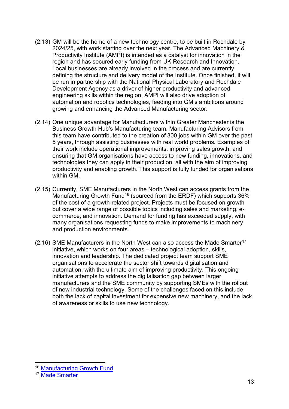- (2.13) GM will be the home of a new technology centre, to be built in Rochdale by 2024/25, with work starting over the next year. The Advanced Machinery & Productivity Institute (AMPI) is intended as a catalyst for innovation in the region and has secured early funding from UK Research and Innovation. Local businesses are already involved in the process and are currently defining the structure and delivery model of the Institute. Once finished, it will be run in partnership with the National Physical Laboratory and Rochdale Development Agency as a driver of higher productivity and advanced engineering skills within the region. AMPI will also drive adoption of automation and robotics technologies, feeding into GM's ambitions around growing and enhancing the Advanced Manufacturing sector.
- (2.14) One unique advantage for Manufacturers within Greater Manchester is the Business Growth Hub's Manufacturing team. Manufacturing Advisors from this team have contributed to the creation of 300 jobs within GM over the past 5 years, through assisting businesses with real world problems. Examples of their work include operational improvements, improving sales growth, and ensuring that GM organisations have access to new funding, innovations, and technologies they can apply in their production, all with the aim of improving productivity and enabling growth. This support is fully funded for organisations within GM.
- (2.15) Currently, SME Manufacturers in the North West can access grants from the Manufacturing Growth Fund<sup>[16](#page-13-0)</sup> (sourced from the ERDF) which supports 36% of the cost of a growth-related project. Projects must be focused on growth but cover a wide range of possible topics including sales and marketing, ecommerce, and innovation. Demand for funding has exceeded supply, with many organisations requesting funds to make improvements to machinery and production environments.
- (2.16) SME Manufacturers in the North West can also access the Made Smarter<sup>[17](#page-13-1)</sup> initiative, which works on four areas – technological adoption, skills, innovation and leadership. The dedicated project team support SME organisations to accelerate the sector shift towards digitalisation and automation, with the ultimate aim of improving productivity. This ongoing initiative attempts to address the digitalisation gap between larger manufacturers and the SME community by supporting SMEs with the rollout of new industrial technology. Some of the challenges faced on this include both the lack of capital investment for expensive new machinery, and the lack of awareness or skills to use new technology.

<span id="page-13-0"></span><sup>16</sup> [Manufacturing Growth Fund](https://www.manufacturingnorthwest.com/about-the-fund)

<span id="page-13-1"></span><sup>17</sup> [Made Smarter](https://www.madesmarter.uk/)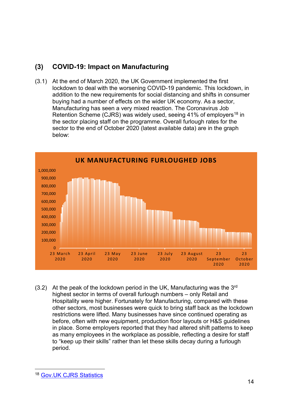### **(3) COVID-19: Impact on Manufacturing**

(3.1) At the end of March 2020, the UK Government implemented the first lockdown to deal with the worsening COVID-19 pandemic. This lockdown, in addition to the new requirements for social distancing and shifts in consumer buying had a number of effects on the wider UK economy. As a sector, Manufacturing has seen a very mixed reaction. The Coronavirus Job Retention Scheme (CJRS) was widely used, seeing  $41\%$  of employers<sup>[18](#page-14-0)</sup> in the sector placing staff on the programme. Overall furlough rates for the sector to the end of October 2020 (latest available data) are in the graph below:



 $(3.2)$  At the peak of the lockdown period in the UK, Manufacturing was the 3<sup>rd</sup> highest sector in terms of overall furlough numbers – only Retail and Hospitality were higher. Fortunately for Manufacturing, compared with these other sectors, most businesses were quick to bring staff back as the lockdown restrictions were lifted. Many businesses have since continued operating as before, often with new equipment, production floor layouts or H&S guidelines in place. Some employers reported that they had altered shift patterns to keep as many employees in the workplace as possible, reflecting a desire for staff to "keep up their skills" rather than let these skills decay during a furlough period.

<span id="page-14-0"></span><sup>18</sup> Gov. UK CJRS Statistics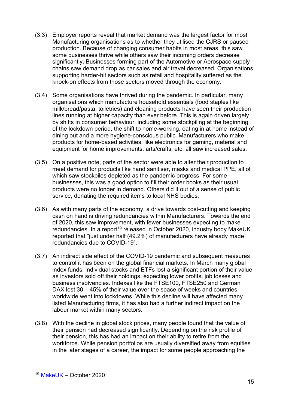- (3.3) Employer reports reveal that market demand was the largest factor for most Manufacturing organisations as to whether they utilised the CJRS or paused production. Because of changing consumer habits in most areas, this saw some businesses thrive while others saw their incoming orders decrease significantly. Businesses forming part of the Automotive or Aerospace supply chains saw demand drop as car sales and air travel decreased. Organisations supporting harder-hit sectors such as retail and hospitality suffered as the knock-on effects from those sectors moved through the economy.
- (3.4) Some organisations have thrived during the pandemic. In particular, many organisations which manufacture household essentials (food staples like milk/bread/pasta, toiletries) and cleaning products have seen their production lines running at higher capacity than ever before. This is again driven largely by shifts in consumer behaviour, including some stockpiling at the beginning of the lockdown period, the shift to home-working, eating in at home instead of dining out and a more hygiene-conscious public. Manufacturers who make products for home-based activities, like electronics for gaming, material and equipment for home improvements, arts/crafts, etc. all saw increased sales.
- (3.5) On a positive note, parts of the sector were able to alter their production to meet demand for products like hand sanitiser, masks and medical PPE, all of which saw stockpiles depleted as the pandemic progress. For some businesses, this was a good option to fill their order books as their usual products were no longer in demand. Others did it out of a sense of public service, donating the required items to local NHS bodies.
- (3.6) As with many parts of the economy, a drive towards cost-cutting and keeping cash on hand is driving redundancies within Manufacturers. Towards the end of 2020, this saw improvement, with fewer businesses expecting to make redundancies. In a report<sup>[19](#page-15-0)</sup> released in October 2020, industry body MakeUK reported that "just under half (49.2%) of manufacturers have already made redundancies due to COVID-19".
- (3.7) An indirect side effect of the COVID-19 pandemic and subsequent measures to control it has been on the global financial markets. In March many global index funds, individual stocks and ETFs lost a significant portion of their value as investors sold off their holdings, expecting lower profits, job losses and business insolvencies. Indexes like the FTSE100, FTSE250 and German DAX lost 30 – 45% of their value over the space of weeks and countries worldwide went into lockdowns. While this decline will have affected many listed Manufacturing firms, it has also had a further indirect impact on the labour market within many sectors.
- (3.8) With the decline in global stock prices, many people found that the value of their pension had decreased significantly. Depending on the risk profile of their pension, this has had an impact on their ability to retire from the workforce. While pension portfolios are usually diversified away from equities in the later stages of a career, the impact for some people approaching the

<span id="page-15-0"></span><sup>19</sup> [MakeUK](https://www.makeuk.org/insights/publications/manufacturing-monitor-26102020) – October 2020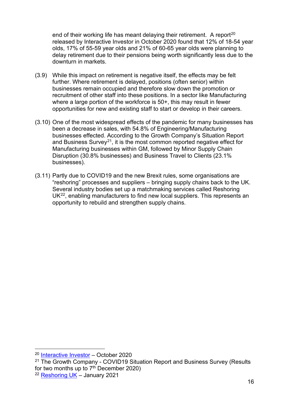end of their working life has meant delaying their retirement. A report<sup>[20](#page-16-0)</sup> released by Interactive Investor in October 2020 found that 12% of 18-54 year olds, 17% of 55-59 year olds and 21% of 60-65 year olds were planning to delay retirement due to their pensions being worth significantly less due to the downturn in markets.

- (3.9) While this impact on retirement is negative itself, the effects may be felt further. Where retirement is delayed, positions (often senior) within businesses remain occupied and therefore slow down the promotion or recruitment of other staff into these positions. In a sector like Manufacturing where a large portion of the workforce is 50+, this may result in fewer opportunities for new and existing staff to start or develop in their careers.
- (3.10) One of the most widespread effects of the pandemic for many businesses has been a decrease in sales, with 54.8% of Engineering/Manufacturing businesses effected. According to the Growth Company's Situation Report and Business Survey<sup>[21](#page-16-1)</sup>, it is the most common reported negative effect for Manufacturing businesses within GM, followed by Minor Supply Chain Disruption (30.8% businesses) and Business Travel to Clients (23.1% businesses).
- (3.11) Partly due to COVID19 and the new Brexit rules, some organisations are "reshoring" processes and suppliers – bringing supply chains back to the UK. Several industry bodies set up a matchmaking services called Reshoring UK[22](#page-16-2), enabling manufacturers to find new local suppliers. This represents an opportunity to rebuild and strengthen supply chains.

<span id="page-16-0"></span><sup>20</sup> [Interactive Investor](https://media-prod.ii.co.uk/s3fs-public/pdfs/II_GB_Retirement_Survey_2020.pdf?6eEU639wJ6z8seoJoyowx0ubiLU.61LF) – October 2020

<span id="page-16-1"></span><sup>&</sup>lt;sup>21</sup> The Growth Company - COVID19 Situation Report and Business Survey (Results) for two months up to  $7<sup>th</sup>$  December 2020)

<span id="page-16-2"></span><sup>22</sup> [Reshoring UK](https://www.reshoring.uk/) – January 2021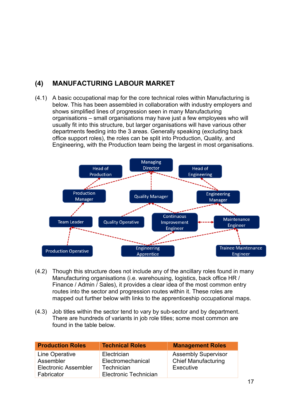## **(4) MANUFACTURING LABOUR MARKET**

(4.1) A basic occupational map for the core technical roles within Manufacturing is below. This has been assembled in collaboration with industry employers and shows simplified lines of progression seen in many Manufacturing organisations – small organisations may have just a few employees who will usually fit into this structure, but larger organisations will have various other departments feeding into the 3 areas. Generally speaking (excluding back office support roles), the roles can be split into Production, Quality, and Engineering, with the Production team being the largest in most organisations.



- (4.2) Though this structure does not include any of the ancillary roles found in many Manufacturing organisations (i.e. warehousing, logistics, back office HR / Finance / Admin / Sales), it provides a clear idea of the most common entry routes into the sector and progression routes within it. These roles are mapped out further below with links to the apprenticeship occupational maps.
- (4.3) Job titles within the sector tend to vary by sub-sector and by department. There are hundreds of variants in job role titles; some most common are found in the table below.

| <b>Production Roles</b>     | <b>Technical Roles</b>       | <b>Management Roles</b>    |
|-----------------------------|------------------------------|----------------------------|
| Line Operative              | Electrician                  | <b>Assembly Supervisor</b> |
| Assembler                   | Electromechanical            | <b>Chief Manufacturing</b> |
| <b>Electronic Assembler</b> | Technician                   | Executive                  |
| Fabricator                  | <b>Electronic Technician</b> |                            |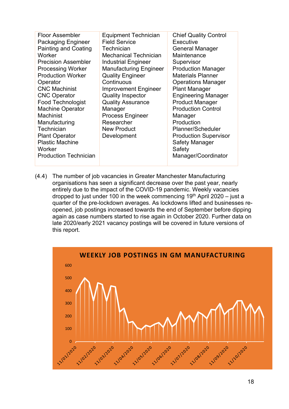| <b>Floor Assembler</b><br><b>Packaging Engineer</b><br><b>Painting and Coating</b><br>Worker<br><b>Precision Assembler</b><br><b>Processing Worker</b><br><b>Production Worker</b><br>Operator<br><b>CNC Machinist</b><br><b>CNC Operator</b><br><b>Food Technologist</b><br><b>Machine Operator</b><br><b>Machinist</b><br>Manufacturing<br>Technician<br><b>Plant Operator</b><br><b>Plastic Machine</b> | <b>Equipment Technician</b><br><b>Field Service</b><br>Technician<br><b>Mechanical Technician</b><br><b>Industrial Engineer</b><br><b>Manufacturing Engineer</b><br><b>Quality Engineer</b><br>Continuous<br><b>Improvement Engineer</b><br><b>Quality Inspector</b><br><b>Quality Assurance</b><br>Manager<br><b>Process Engineer</b><br>Researcher<br><b>New Product</b><br>Development | <b>Chief Quality Control</b><br>Executive<br><b>General Manager</b><br>Maintenance<br>Supervisor<br><b>Production Manager</b><br><b>Materials Planner</b><br><b>Operations Manager</b><br><b>Plant Manager</b><br><b>Engineering Manager</b><br><b>Product Manager</b><br><b>Production Control</b><br>Manager<br>Production<br>Planner/Scheduler<br><b>Production Supervisor</b><br><b>Safety Manager</b> |
|------------------------------------------------------------------------------------------------------------------------------------------------------------------------------------------------------------------------------------------------------------------------------------------------------------------------------------------------------------------------------------------------------------|-------------------------------------------------------------------------------------------------------------------------------------------------------------------------------------------------------------------------------------------------------------------------------------------------------------------------------------------------------------------------------------------|------------------------------------------------------------------------------------------------------------------------------------------------------------------------------------------------------------------------------------------------------------------------------------------------------------------------------------------------------------------------------------------------------------|
|                                                                                                                                                                                                                                                                                                                                                                                                            |                                                                                                                                                                                                                                                                                                                                                                                           |                                                                                                                                                                                                                                                                                                                                                                                                            |
| Worker                                                                                                                                                                                                                                                                                                                                                                                                     |                                                                                                                                                                                                                                                                                                                                                                                           | Safety                                                                                                                                                                                                                                                                                                                                                                                                     |
| <b>Production Technician</b>                                                                                                                                                                                                                                                                                                                                                                               |                                                                                                                                                                                                                                                                                                                                                                                           | Manager/Coordinator                                                                                                                                                                                                                                                                                                                                                                                        |
|                                                                                                                                                                                                                                                                                                                                                                                                            |                                                                                                                                                                                                                                                                                                                                                                                           |                                                                                                                                                                                                                                                                                                                                                                                                            |

(4.4) The number of job vacancies in Greater Manchester Manufacturing organisations has seen a significant decrease over the past year, nearly entirely due to the impact of the COVID-19 pandemic. Weekly vacancies dropped to just under 100 in the week commencing  $19<sup>th</sup>$  April 2020 – just a quarter of the pre-lockdown averages. As lockdowns lifted and businesses reopened, job postings increased towards the end of September before dipping again as case numbers started to rise again in October 2020. Further data on late 2020/early 2021 vacancy postings will be covered in future versions of this report.

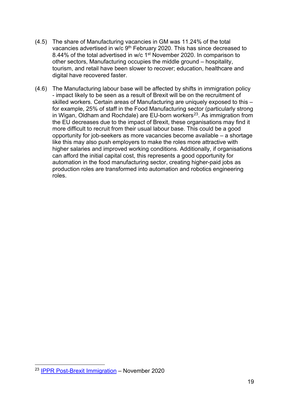- (4.5) The share of Manufacturing vacancies in GM was 11.24% of the total vacancies advertised in w/c 9<sup>th</sup> February 2020. This has since decreased to 8.44% of the total advertised in w/c 1<sup>st</sup> November 2020. In comparison to other sectors, Manufacturing occupies the middle ground – hospitality, tourism, and retail have been slower to recover; education, healthcare and digital have recovered faster.
- (4.6) The Manufacturing labour base will be affected by shifts in immigration policy - impact likely to be seen as a result of Brexit will be on the recruitment of skilled workers. Certain areas of Manufacturing are uniquely exposed to this – for example, 25% of staff in the Food Manufacturing sector (particularly strong in Wigan, Oldham and Rochdale) are EU-born workers<sup>[23](#page-19-0)</sup>. As immigration from the EU decreases due to the impact of Brexit, these organisations may find it more difficult to recruit from their usual labour base. This could be a good opportunity for job-seekers as more vacancies become available – a shortage like this may also push employers to make the roles more attractive with higher salaries and improved working conditions. Additionally, if organisations can afford the initial capital cost, this represents a good opportunity for automation in the food manufacturing sector, creating higher-paid jobs as production roles are transformed into automation and robotics engineering roles.

<span id="page-19-0"></span><sup>23</sup> [IPPR Post-Brexit Immigration](https://www.ippr.org/files/2020-11/post-brexit-migrationnov20.pdf) – November 2020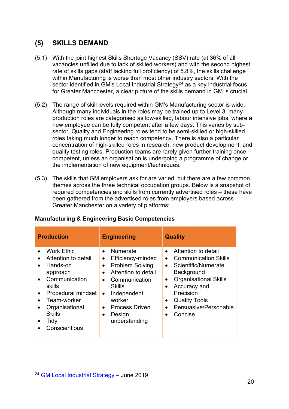#### **(5) SKILLS DEMAND**

- (5.1) With the joint highest Skills Shortage Vacancy (SSV) rate (at 36% of all vacancies unfilled due to lack of skilled workers) and with the second highest rate of skills gaps (staff lacking full proficiency) of 5.8%, the skills challenge within Manufacturing is worse than most other industry sectors. With the sector identified in  $\tilde{G}M$ 's Local Industrial Strategy<sup>[24](#page-20-0)</sup> as a key industrial focus for Greater Manchester, a clear picture of the skills demand in GM is crucial.
- (5.2) The range of skill levels required within GM's Manufacturing sector is wide. Although many individuals in the roles may be trained up to Level 3, many production roles are categorised as low-skilled, labour intensive jobs, where a new employee can be fully competent after a few days. This varies by subsector. Quality and Engineering roles tend to be semi-skilled or high-skilled roles taking much longer to reach competency. There is also a particular concentration of high-skilled roles in research, new product development, and quality testing roles. Production teams are rarely given further training once competent, unless an organisation is undergoing a programme of change or the implementation of new equipment/techniques.
- (5.3) The skills that GM employers ask for are varied, but there are a few common themes across the three technical occupation groups. Below is a snapshot of required competencies and skills from currently advertised roles – these have been gathered from the advertised roles from employers based across Greater Manchester on a variety of platforms:

| <b>Production</b>                                                                                                                                                                                                                                                          | <b>Engineering</b>                                                                                                                                                                                                                                                                                           | <b>Quality</b>                                                                                                                                                                                                                               |  |
|----------------------------------------------------------------------------------------------------------------------------------------------------------------------------------------------------------------------------------------------------------------------------|--------------------------------------------------------------------------------------------------------------------------------------------------------------------------------------------------------------------------------------------------------------------------------------------------------------|----------------------------------------------------------------------------------------------------------------------------------------------------------------------------------------------------------------------------------------------|--|
| <b>Work Ethic</b><br>$\bullet$<br>Attention to detail<br>$\bullet$<br>Hands-on<br>$\bullet$<br>approach<br>Communication<br>$\bullet$<br>skills<br>Procedural mindset<br>$\bullet$<br>Team-worker<br>Organisational<br>$\bullet$<br><b>Skills</b><br>Tidy<br>Conscientious | <b>Numerate</b><br>$\bullet$<br>Efficiency-minded<br>$\bullet$<br><b>Problem Solving</b><br>$\bullet$<br>Attention to detail<br>$\bullet$<br>Communication<br>$\bullet$<br><b>Skills</b><br>Independent<br>$\bullet$<br>worker<br><b>Process Driven</b><br>$\bullet$<br>Design<br>$\bullet$<br>understanding | Attention to detail<br><b>Communication Skills</b><br>• Scientific/Numerate<br>Background<br><b>Organisational Skills</b><br>Accuracy and<br>Precision<br><b>Quality Tools</b><br>$\bullet$<br>Persuasive/Personable<br>Concise<br>$\bullet$ |  |

#### **Manufacturing & Engineering Basic Competencies**

<span id="page-20-0"></span><sup>24</sup> [GM Local Industrial Strategy](https://www.greatermanchester-ca.gov.uk/media/2132/gm-local-industrial-strategy-web.pdf) – June 2019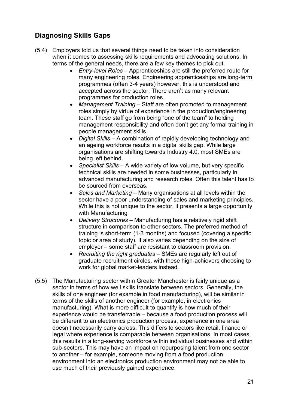## **Diagnosing Skills Gaps**

- (5.4) Employers told us that several things need to be taken into consideration when it comes to assessing skills requirements and advocating solutions. In terms of the general needs, there are a few key themes to pick out.
	- *Entry-level Roles* Apprenticeships are still the preferred route for many engineering roles. Engineering apprenticeships are long-term programmes (often 3-4 years) however, this is understood and accepted across the sector. There aren't as many relevant programmes for production roles.
	- *Management Training* Staff are often promoted to management roles simply by virtue of experience in the production/engineering team. These staff go from being "one of the team" to holding management responsibility and often don't get any formal training in people management skills.
	- *Digital Skills* A combination of rapidly developing technology and an ageing workforce results in a digital skills gap. While large organisations are shifting towards Industry 4.0, most SMEs are being left behind.
	- *Specialist Skills* A wide variety of low volume, but very specific technical skills are needed in some businesses, particularly in advanced manufacturing and research roles. Often this talent has to be sourced from overseas.
	- *Sales and Marketing*  Many organisations at all levels within the sector have a poor understanding of sales and marketing principles. While this is not unique to the sector, it presents a large opportunity with Manufacturing
	- *Delivery Structures* Manufacturing has a relatively rigid shift structure in comparison to other sectors. The preferred method of training is short-term (1-3 months) and focused (covering a specific topic or area of study). It also varies depending on the size of employer – some staff are resistant to classroom provision.
	- *Recruiting the right graduates*  SMEs are regularly left out of graduate recruitment circles, with these high-achievers choosing to work for global market-leaders instead.
- (5.5) The Manufacturing sector within Greater Manchester is fairly unique as a sector in terms of how well skills translate between sectors. Generally, the skills of one engineer (for example in food manufacturing), will be similar in terms of the skills of another engineer (for example, in electronics manufacturing). What is more difficult to quantify is how much of their experience would be transferrable – because a food production process will be different to an electronics production process, experience in one area doesn't necessarily carry across. This differs to sectors like retail, finance or legal where experience is comparable between organisations. In most cases, this results in a long-serving workforce within individual businesses and within sub-sectors. This may have an impact on repurposing talent from one sector to another – for example, someone moving from a food production environment into an electronics production environment may not be able to use much of their previously gained experience.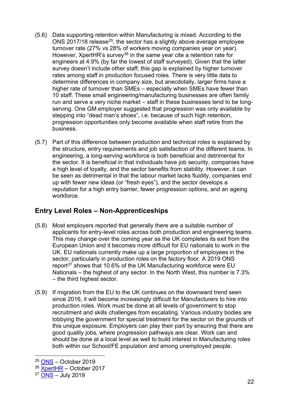- (5.6) Data supporting retention within Manufacturing is mixed. According to the ONS 2017/18 release<sup>25</sup>, the sector has a slightly above average employee turnover rate (27% vs 28% of workers moving companies year on year). However, XpertHR's survey<sup>[26](#page-22-1)</sup> in the same year cite a retention rate for engineers at 4.9% (by far the lowest of staff surveyed). Given that the latter survey doesn't include other staff, this gap is explained by higher turnover rates among staff in production focused roles. There is very little data to determine differences in company size, but anecdotally, larger firms have a higher rate of turnover than SMEs – especially when SMEs have fewer than 10 staff. These small engineering/manufacturing businesses are often family run and serve a very niche market – staff in these businesses tend to be longserving. One GM employer suggested that progression was only available by stepping into "dead man's shoes", i.e. because of such high retention, progression opportunities only become available when staff retire from the business.
- (5.7) Part of this difference between production and technical roles is explained by the structure, entry requirements and job satisfaction of the different teams. In engineering, a long-serving workforce is both beneficial and detrimental for the sector. It is beneficial in that individuals have job security, companies have a high level of loyalty, and the sector benefits from stability. However, it can be seen as detrimental in that the labour market lacks fluidity, companies end up with fewer new ideas (or "fresh eyes"), and the sector develops a reputation for a high entry barrier, fewer progression options, and an ageing workforce.

#### **Entry Level Roles – Non-Apprenticeships**

- (5.8) Most employers reported that generally there are a suitable number of applicants for entry-level roles across both production and engineering teams. This may change over the coming year as the UK completes its exit from the European Union and it becomes more difficult for EU nationals to work in the UK. EU nationals currently make up a large proportion of employees in the sector, particularly in production roles on the factory floor. A 2019 ONS report<sup>[27](#page-22-2)</sup> shows that 10.6% of the UK Manufacturing workforce were EU Nationals – the highest of any sector. In the North West, this number is 7.3% – the third highest sector.
- (5.9) If migration from the EU to the UK continues on the downward trend seen since 2016, it will become increasingly difficult for Manufacturers to hire into production roles. Work must be done at all levels of government to stop recruitment and skills challenges from escalating. Various industry bodies are lobbying the government for special treatment for the sector on the grounds of this unique exposure. Employers can play their part by ensuring that there are good quality jobs, where progression pathways are clear. Work can and should be done at a local level as well to build interest in Manufacturing roles both within our School/FE population and among unemployed people.

<span id="page-22-0"></span> $25$  [ONS](https://www.ons.gov.uk/employmentandlabourmarket/peopleinwork/employmentandemployeetypes/adhocs/10685employeeturnoverlevelsandratesbyindustrysectionukjanuary2017todecember2018) – October 2019

<span id="page-22-1"></span><sup>26</sup> [XpertHR](https://www.xperthr.co.uk/survey-analysis/labour-turnover-rates-survey-2017/162496/) – October 2017

<span id="page-22-2"></span> $27$  [ONS](https://www.ons.gov.uk/employmentandlabourmarket/peopleinwork/employmentandemployeetypes/adhocs/010204numberofuknationalseunationalsandnoneunationalsinemploymentbyindustryandregionapril2018tomarch2019) – July 2019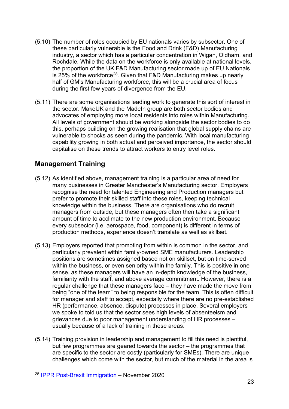- (5.10) The number of roles occupied by EU nationals varies by subsector. One of these particularly vulnerable is the Food and Drink (F&D) Manufacturing industry, a sector which has a particular concentration in Wigan, Oldham, and Rochdale. While the data on the workforce is only available at national levels, the proportion of the UK F&D Manufacturing sector made up of EU Nationals is 25% of the workforce<sup>[28](#page-23-0)</sup>. Given that F&D Manufacturing makes up nearly half of GM's Manufacturing workforce, this will be a crucial area of focus during the first few years of divergence from the EU.
- (5.11) There are some organisations leading work to generate this sort of interest in the sector. MakeUK and the MadeIn group are both sector bodies and advocates of employing more local residents into roles within Manufacturing. All levels of government should be working alongside the sector bodies to do this, perhaps building on the growing realisation that global supply chains are vulnerable to shocks as seen during the pandemic. With local manufacturing capability growing in both actual and perceived importance, the sector should capitalise on these trends to attract workers to entry level roles.

#### **Management Training**

- (5.12) As identified above, management training is a particular area of need for many businesses in Greater Manchester's Manufacturing sector. Employers recognise the need for talented Engineering and Production managers but prefer to promote their skilled staff into these roles, keeping technical knowledge within the business. There are organisations who do recruit managers from outside, but these managers often then take a significant amount of time to acclimate to the new production environment. Because every subsector (i.e. aerospace, food, component) is different in terms of production methods, experience doesn't translate as well as skillset.
- (5.13) Employers reported that promoting from within is common in the sector, and particularly prevalent within family-owned SME manufacturers. Leadership positions are sometimes assigned based not on skillset, but on time-served within the business, or even seniority within the family. This is positive in one sense, as these managers will have an in-depth knowledge of the business, familiarity with the staff, and above average commitment. However, there is a regular challenge that these managers face – they have made the move from being "one of the team" to being responsible for the team. This is often difficult for manager and staff to accept, especially where there are no pre-established HR (performance, absence, dispute) processes in place. Several employers we spoke to told us that the sector sees high levels of absenteeism and grievances due to poor management understanding of HR processes – usually because of a lack of training in these areas.
- (5.14) Training provision in leadership and management to fill this need is plentiful, but few programmes are geared towards the sector – the programmes that are specific to the sector are costly (particularly for SMEs). There are unique challenges which come with the sector, but much of the material in the area is

<span id="page-23-0"></span><sup>28</sup> [IPPR Post-Brexit Immigration](https://www.ippr.org/files/2020-11/post-brexit-migrationnov20.pdf) – November 2020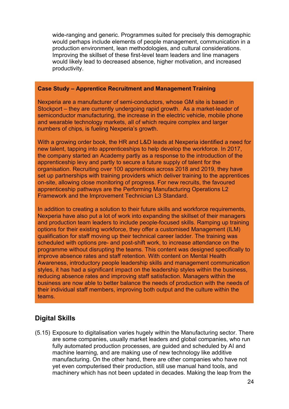wide-ranging and generic. Programmes suited for precisely this demographic would perhaps include elements of people management, communication in a production environment, lean methodologies, and cultural considerations. Improving the skillset of these first-level team leaders and line managers would likely lead to decreased absence, higher motivation, and increased productivity.

#### **Case Study – Apprentice Recruitment and Management Training**

Nexperia are a manufacturer of semi-conductors, whose GM site is based in Stockport – they are currently undergoing rapid growth. As a market-leader of semiconductor manufacturing, the increase in the electric vehicle, mobile phone and wearable technology markets, all of which require complex and larger numbers of chips, is fueling Nexperia's growth.

With a growing order book, the HR and L&D leads at Nexperia identified a need for new talent, tapping into apprenticeships to help develop the workforce. In 2017, the company started an Academy partly as a response to the introduction of the apprenticeship levy and partly to secure a future supply of talent for the organisation. Recruiting over 100 apprentices across 2018 and 2019, they have set up partnerships with training providers which deliver training to the apprentices on-site, allowing close monitoring of progress. For new recruits, the favoured apprenticeship pathways are the Performing Manufacturing Operations L2 Framework and the Improvement Technician L3 Standard.

In addition to creating a solution to their future skills and workforce requirements, Nexperia have also put a lot of work into expanding the skillset of their managers and production team leaders to include people-focused skills. Ramping up training options for their existing workforce, they offer a customised Management (ILM) qualification for staff moving up their technical career ladder. The training was scheduled with options pre- and post-shift work, to increase attendance on the programme without disrupting the teams. This content was designed specifically to improve absence rates and staff retention. With content on Mental Health Awareness, introductory people leadership skills and management communication styles, it has had a significant impact on the leadership styles within the business, reducing absence rates and improving staff satisfaction. Managers within the business are now able to better balance the needs of production with the needs of their individual staff members, improving both output and the culture within the teams.

#### **Digital Skills**

(5.15) Exposure to digitalisation varies hugely within the Manufacturing sector. There are some companies, usually market leaders and global companies, who run fully automated production processes, are guided and scheduled by AI and machine learning, and are making use of new technology like additive manufacturing. On the other hand, there are other companies who have not yet even computerised their production, still use manual hand tools, and machinery which has not been updated in decades. Making the leap from the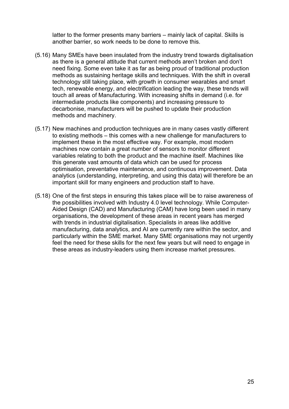latter to the former presents many barriers – mainly lack of capital. Skills is another barrier, so work needs to be done to remove this.

- (5.16) Many SMEs have been insulated from the industry trend towards digitalisation as there is a general attitude that current methods aren't broken and don't need fixing. Some even take it as far as being proud of traditional production methods as sustaining heritage skills and techniques. With the shift in overall technology still taking place, with growth in consumer wearables and smart tech, renewable energy, and electrification leading the way, these trends will touch all areas of Manufacturing. With increasing shifts in demand (i.e. for intermediate products like components) and increasing pressure to decarbonise, manufacturers will be pushed to update their production methods and machinery.
- (5.17) New machines and production techniques are in many cases vastly different to existing methods – this comes with a new challenge for manufacturers to implement these in the most effective way. For example, most modern machines now contain a great number of sensors to monitor different variables relating to both the product and the machine itself. Machines like this generate vast amounts of data which can be used for process optimisation, preventative maintenance, and continuous improvement. Data analytics (understanding, interpreting, and using this data) will therefore be an important skill for many engineers and production staff to have.
- (5.18) One of the first steps in ensuring this takes place will be to raise awareness of the possibilities involved with Industry 4.0 level technology. While Computer-Aided Design (CAD) and Manufacturing (CAM) have long been used in many organisations, the development of these areas in recent years has merged with trends in industrial digitalisation. Specialists in areas like additive manufacturing, data analytics, and AI are currently rare within the sector, and particularly within the SME market. Many SME organisations may not urgently feel the need for these skills for the next few years but will need to engage in these areas as industry-leaders using them increase market pressures.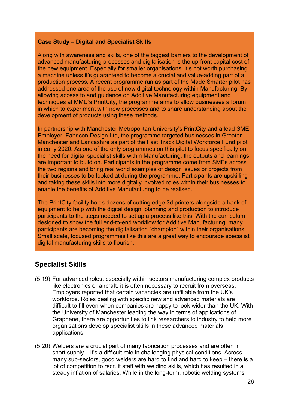#### **Case Study – Digital and Specialist Skills**

Along with awareness and skills, one of the biggest barriers to the development of advanced manufacturing processes and digitalisation is the up-front capital cost of the new equipment. Especially for smaller organisations, it's not worth purchasing a machine unless it's guaranteed to become a crucial and value-adding part of a production process. A recent programme run as part of the Made Smarter pilot has addressed one area of the use of new digital technology within Manufacturing. By allowing access to and guidance on Additive Manufacturing equipment and techniques at MMU's PrintCity, the programme aims to allow businesses a forum in which to experiment with new processes and to share understanding about the development of products using these methods.

In partnership with Manchester Metropolitan University's PrintCity and a lead SME Employer, Fabricon Design Ltd, the programme targeted businesses in Greater Manchester and Lancashire as part of the Fast Track Digital Workforce Fund pilot in early 2020. As one of the only programmes on this pilot to focus specifically on the need for digital specialist skills within Manufacturing, the outputs and learnings are important to build on. Participants in the programme come from SMEs across the two regions and bring real world examples of design issues or projects from their businesses to be looked at during the programme. Participants are upskilling and taking these skills into more digitally involved roles within their businesses to enable the benefits of Additive Manufacturing to be realised.

The PrintCity facility holds dozens of cutting edge 3d printers alongside a bank of equipment to help with the digital design, planning and production to introduce participants to the steps needed to set up a process like this. With the curriculum designed to show the full end-to-end workflow for Additive Manufacturing, many participants are becoming the digitalisation "champion" within their organisations. Small scale, focused programmes like this are a great way to encourage specialist digital manufacturing skills to flourish.

#### **Specialist Skills**

- (5.19) For advanced roles, especially within sectors manufacturing complex products like electronics or aircraft, it is often necessary to recruit from overseas. Employers reported that certain vacancies are unfillable from the UK's workforce. Roles dealing with specific new and advanced materials are difficult to fill even when companies are happy to look wider than the UK. With the University of Manchester leading the way in terms of applications of Graphene, there are opportunities to link researchers to industry to help more organisations develop specialist skills in these advanced materials applications.
- (5.20) Welders are a crucial part of many fabrication processes and are often in short supply – it's a difficult role in challenging physical conditions. Across many sub-sectors, good welders are hard to find and hard to keep – there is a lot of competition to recruit staff with welding skills, which has resulted in a steady inflation of salaries. While in the long-term, robotic welding systems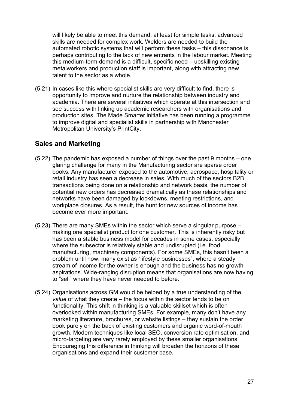will likely be able to meet this demand, at least for simple tasks, advanced skills are needed for complex work. Welders are needed to build the automated robotic systems that will perform these tasks – this dissonance is perhaps contributing to the lack of new entrants in the labour market. Meeting this medium-term demand is a difficult, specific need – upskilling existing metalworkers and production staff is important, along with attracting new talent to the sector as a whole.

(5.21) In cases like this where specialist skills are very difficult to find, there is opportunity to improve and nurture the relationship between industry and academia. There are several initiatives which operate at this intersection and see success with linking up academic researchers with organisations and production sites. The Made Smarter initiative has been running a programme to improve digital and specialist skills in partnership with Manchester Metropolitan University's PrintCity.

#### **Sales and Marketing**

- (5.22) The pandemic has exposed a number of things over the past 9 months one glaring challenge for many in the Manufacturing sector are sparse order books. Any manufacturer exposed to the automotive, aerospace, hospitality or retail industry has seen a decrease in sales. With much of the sectors B2B transactions being done on a relationship and network basis, the number of potential new orders has decreased dramatically as these relationships and networks have been damaged by lockdowns, meeting restrictions, and workplace closures. As a result, the hunt for new sources of income has become ever more important.
- (5.23) There are many SMEs within the sector which serve a singular purpose making one specialist product for one customer. This is inherently risky but has been a stable business model for decades in some cases, especially where the subsector is relatively stable and undisrupted (i.e. food manufacturing, machinery components). For some SMEs, this hasn't been a problem until now; many exist as "lifestyle businesses", where a steady stream of income for the owner is enough and the business has no growth aspirations. Wide-ranging disruption means that organisations are now having to "sell" where they have never needed to before.
- (5.24) Organisations across GM would be helped by a true understanding of the *value* of what they create – the focus within the sector tends to be on functionality. This shift in thinking is a valuable skillset which is often overlooked within manufacturing SMEs. For example, many don't have any marketing literature, brochures, or website listings – they sustain the order book purely on the back of existing customers and organic word-of-mouth growth. Modern techniques like local SEO, conversion rate optimisation, and micro-targeting are very rarely employed by these smaller organisations. Encouraging this difference in thinking will broaden the horizons of these organisations and expand their customer base.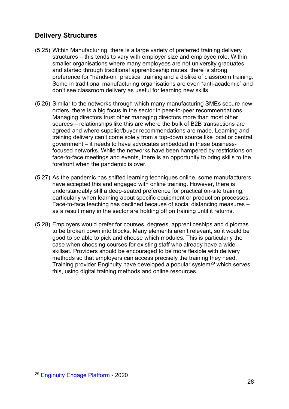#### **Delivery Structures**

- (5.25) Within Manufacturing, there is a large variety of preferred training delivery structures – this tends to vary with employer size and employee role. Within smaller organisations where many employees are not university graduates and started through traditional apprenticeship routes, there is strong preference for "hands-on" practical training and a dislike of classroom training. Some in traditional manufacturing organisations are even "anti-academic" and don't see classroom delivery as useful for learning new skills.
- (5.26) Similar to the networks through which many manufacturing SMEs secure new orders, there is a big focus in the sector in peer-to-peer recommendations. Managing directors trust other managing directors more than most other sources – relationships like this are where the bulk of B2B transactions are agreed and where supplier/buyer recommendations are made. Learning and training delivery can't come solely from a top-down source like local or central government – it needs to have advocates embedded in these businessfocused networks. While the networks have been hampered by restrictions on face-to-face meetings and events, there is an opportunity to bring skills to the forefront when the pandemic is over.
- (5.27) As the pandemic has shifted learning techniques online, some manufacturers have accepted this and engaged with online training. However, there is understandably still a deep-seated preference for practical on-site training, particularly when learning about specific equipment or production processes. Face-to-face teaching has declined because of social distancing measures – as a result many in the sector are holding off on training until it returns.
- (5.28) Employers would prefer for courses, degrees, apprenticeships and diplomas to be broken down into blocks. Many elements aren't relevant, so it would be good to be able to pick and choose which modules. This is particularly the case when choosing courses for existing staff who already have a wide skillset. Providers should be encouraged to be more flexible with delivery methods so that employers can access precisely the training they need. Training provider Enginuity have developed a popular system<sup>[29](#page-28-0)</sup> which serves this, using digital training methods and online resources.

<span id="page-28-0"></span><sup>29</sup> [Enginuity Engage Platform](https://enginuity.org/innovation-lab/engage/) - 2020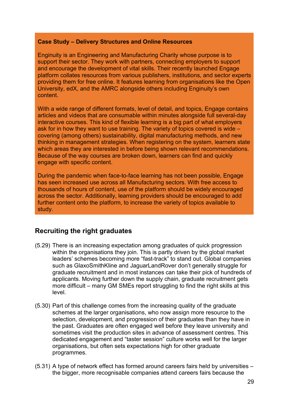#### **Case Study – Delivery Structures and Online Resources**

Enginuity is an Engineering and Manufacturing Charity whose purpose is to support their sector. They work with partners, connecting employers to support and encourage the development of vital skills. Their recently launched Engage platform collates resources from various publishers, institutions, and sector experts providing them for free online. It features learning from organisations like the Open University, edX, and the AMRC alongside others including Enginuity's own content.

With a wide range of different formats, level of detail, and topics, Engage contains articles and videos that are consumable within minutes alongside full several-day interactive courses. This kind of flexible learning is a big part of what employers ask for in how they want to use training. The variety of topics covered is wide – covering (among others) sustainability, digital manufacturing methods, and new thinking in management strategies. When registering on the system, learners state which areas they are interested in before being shown relevant recommendations. Because of the way courses are broken down, learners can find and quickly engage with specific content.

During the pandemic when face-to-face learning has not been possible, Engage has seen increased use across all Manufacturing sectors. With free access to thousands of hours of content, use of the platform should be widely encouraged across the sector. Additionally, learning providers should be encouraged to add further content onto the platform, to increase the variety of topics available to study.

#### **Recruiting the right graduates**

- (5.29) There is an increasing expectation among graduates of quick progression within the organisations they join. This is partly driven by the global market leaders' schemes becoming more "fast-track" to stand out. Global companies such as GlaxoSmithKline and JaguarLandRover don't generally struggle for graduate recruitment and in most instances can take their pick of hundreds of applicants. Moving further down the supply chain, graduate recruitment gets more difficult – many GM SMEs report struggling to find the right skills at this level.
- (5.30) Part of this challenge comes from the increasing quality of the graduate schemes at the larger organisations, who now assign more resource to the selection, development, and progression of their graduates than they have in the past. Graduates are often engaged well before they leave university and sometimes visit the production sites in advance of assessment centres. This dedicated engagement and "taster session" culture works well for the larger organisations, but often sets expectations high for other graduate programmes.
- (5.31) A type of network effect has formed around careers fairs held by universities the bigger, more recognisable companies attend careers fairs because the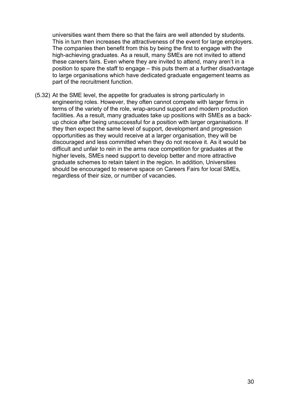universities want them there so that the fairs are well attended by students. This in turn then increases the attractiveness of the event for large employers. The companies then benefit from this by being the first to engage with the high-achieving graduates. As a result, many SMEs are not invited to attend these careers fairs. Even where they are invited to attend, many aren't in a position to spare the staff to engage – this puts them at a further disadvantage to large organisations which have dedicated graduate engagement teams as part of the recruitment function.

(5.32) At the SME level, the appetite for graduates is strong particularly in engineering roles. However, they often cannot compete with larger firms in terms of the variety of the role, wrap-around support and modern production facilities. As a result, many graduates take up positions with SMEs as a backup choice after being unsuccessful for a position with larger organisations. If they then expect the same level of support, development and progression opportunities as they would receive at a larger organisation, they will be discouraged and less committed when they do not receive it. As it would be difficult and unfair to rein in the arms race competition for graduates at the higher levels, SMEs need support to develop better and more attractive graduate schemes to retain talent in the region. In addition, Universities should be encouraged to reserve space on Careers Fairs for local SMEs, regardless of their size, or number of vacancies.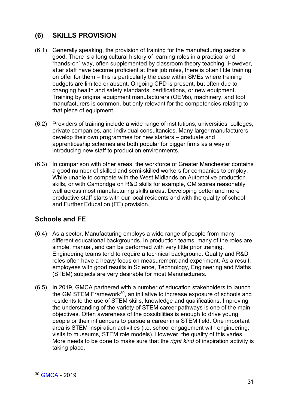## **(6) SKILLS PROVISION**

- (6.1) Generally speaking, the provision of training for the manufacturing sector is good. There is a long cultural history of learning roles in a practical and "hands-on" way, often supplemented by classroom theory teaching. However, after staff have become proficient at their job roles, there is often little training on offer for them – this is particularly the case within SMEs where training budgets are limited or absent. Ongoing CPD is present, but often due to changing health and safety standards, certifications, or new equipment. Training by original equipment manufacturers (OEMs), machinery, and tool manufacturers is common, but only relevant for the competencies relating to that piece of equipment.
- (6.2) Providers of training include a wide range of institutions, universities, colleges, private companies, and individual consultancies. Many larger manufacturers develop their own programmes for new starters – graduate and apprenticeship schemes are both popular for bigger firms as a way of introducing new staff to production environments.
- (6.3) In comparison with other areas, the workforce of Greater Manchester contains a good number of skilled and semi-skilled workers for companies to employ. While unable to compete with the West Midlands on Automotive production skills, or with Cambridge on R&D skills for example, GM scores reasonably well across most manufacturing skills areas. Developing better and more productive staff starts with our local residents and with the quality of school and Further Education (FE) provision.

## **Schools and FE**

- (6.4) As a sector, Manufacturing employs a wide range of people from many different educational backgrounds. In production teams, many of the roles are simple, manual, and can be performed with very little prior training. Engineering teams tend to require a technical background. Quality and R&D roles often have a heavy focus on measurement and experiment. As a result, employees with good results in Science, Technology, Engineering and Maths (STEM) subjects are very desirable for most Manufacturers.
- (6.5) In 2019, GMCA partnered with a number of education stakeholders to launch the GM STEM Framework<sup>30</sup>, an initiative to increase exposure of schools and residents to the use of STEM skills, knowledge and qualifications. Improving the understanding of the variety of STEM career pathways is one of the main objectives. Often awareness of the possibilities is enough to drive young people or their influencers to pursue a career in a STEM field. One important area is STEM inspiration activities (i.e. school engagement with engineering, visits to museums, STEM role models). However, the quality of this varies. More needs to be done to make sure that the *right kind* of inspiration activity is taking place.

<span id="page-31-0"></span><sup>30</sup> [GMCA](https://www.greatermanchester-ca.gov.uk/what-we-do/work-and-skills/greater-manchester-stem-framework/) - 2019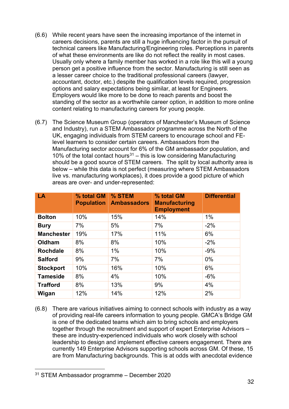- (6.6) While recent years have seen the increasing importance of the internet in careers decisions, parents are still a huge influencing factor in the pursuit of technical careers like Manufacturing/Engineering roles. Perceptions in parents of what these environments are like do not reflect the reality in most cases. Usually only where a family member has worked in a role like this will a young person get a positive influence from the sector. Manufacturing is still seen as a lesser career choice to the traditional professional careers (lawyer, accountant, doctor, etc.) despite the qualification levels required, progression options and salary expectations being similar, at least for Engineers. Employers would like more to be done to reach parents and boost the standing of the sector as a worthwhile career option, in addition to more online content relating to manufacturing careers for young people.
- (6.7) The Science Museum Group (operators of Manchester's Museum of Science and Industry), run a STEM Ambassador programme across the North of the UK, engaging individuals from STEM careers to encourage school and FElevel learners to consider certain careers. Ambassadors from the Manufacturing sector account for 6% of the GM ambassador population, and 10% of the total contact hours<sup>[31](#page-32-0)</sup> – this is low considering Manufacturing should be a good source of STEM careers. The split by local authority area is below – while this data is not perfect (measuring where STEM Ambassadors live vs. manufacturing workplaces), it does provide a good picture of which areas are over- and under-represented:

| LA                | % total GM<br><b>Population</b> | % STEM<br><b>Ambassadors</b> | % total GM<br><b>Manufacturing</b><br><b>Employment</b> | <b>Differential</b> |
|-------------------|---------------------------------|------------------------------|---------------------------------------------------------|---------------------|
| <b>Bolton</b>     | 10%                             | 15%                          | 14%                                                     | $1\%$               |
| <b>Bury</b>       | 7%                              | 5%                           | 7%                                                      | $-2%$               |
| <b>Manchester</b> | 19%                             | 17%                          | 11%                                                     | 6%                  |
| Oldham            | 8%                              | 8%                           | 10%                                                     | $-2%$               |
| <b>Rochdale</b>   | 8%                              | $1\%$                        | 10%                                                     | $-9%$               |
| <b>Salford</b>    | 9%                              | 7%                           | 7%                                                      | 0%                  |
| <b>Stockport</b>  | 10%                             | 16%                          | 10%                                                     | 6%                  |
| <b>Tameside</b>   | 8%                              | 4%                           | 10%                                                     | $-6%$               |
| <b>Trafford</b>   | 8%                              | 13%                          | 9%                                                      | 4%                  |
| Wigan             | 12%                             | 14%                          | 12%                                                     | 2%                  |

(6.8) There are various initiatives aiming to connect schools with industry as a way of providing real-life careers information to young people. GMCA's Bridge GM is one of the dedicated teams which aim to bring schools and employers together through the recruitment and support of expert Enterprise Advisors – these are industry-experienced individuals who work closely with school leadership to design and implement effective careers engagement. There are currently 149 Enterprise Advisors supporting schools across GM. Of these, 15 are from Manufacturing backgrounds. This is at odds with anecdotal evidence

<span id="page-32-0"></span><sup>31</sup> STEM Ambassador programme – December 2020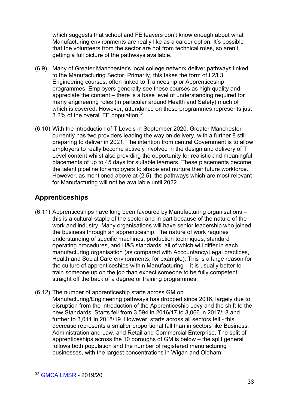which suggests that school and FE leavers don't know enough about what Manufacturing environments are really like as a career option. It's possible that the volunteers from the sector are not from technical roles, so aren't getting a full picture of the pathways available.

- (6.9) Many of Greater Manchester's local college network deliver pathways linked to the Manufacturing Sector. Primarily, this takes the form of L2/L3 Engineering courses, often linked to Traineeship or Apprenticeship programmes. Employers generally see these courses as high quality and appreciate the content – there is a base level of understanding required for many engineering roles (in particular around Health and Safety) much of which is covered. However, attendance on these programmes represents just 3.2% of the overall FE population  $32$ .
- (6.10) With the introduction of T Levels in September 2020, Greater Manchester currently has two providers leading the way on delivery, with a further 8 still preparing to deliver in 2021. The intention from central Government is to allow employers to really become actively involved in the design and delivery of T Level content whilst also providing the opportunity for realistic and meaningful placements of up to 45 days for suitable learners. These placements become the talent pipeline for employers to shape and nurture their future workforce. However, as mentioned above at (2.5), the pathways which are most relevant for Manufacturing will not be available until 2022.

## **Apprenticeships**

- (6.11) Apprenticeships have long been favoured by Manufacturing organisations this is a cultural staple of the sector and in part because of the nature of the work and industry. Many organisations will have senior leadership who joined the business through an apprenticeship. The nature of work requires understanding of specific machines, production techniques, standard operating procedures, and H&S standards, all of which will differ in each manufacturing organisation (as compared with Accountancy/Legal practices, Health and Social Care environments, for example). This is a large reason for the culture of apprenticeships within Manufacturing – it is usually better to train someone up on the job than expect someone to be fully competent straight off the back of a degree or training programmes.
- (6.12) The number of apprenticeship starts across GM on Manufacturing/Engineering pathways has dropped since 2016, largely due to disruption from the introduction of the Apprenticeship Levy and the shift to the new Standards. Starts fell from 3,594 in 2016/17 to 3,066 in 2017/18 and further to 3,011 in 2018/19. However, starts across all sectors fell - this decrease represents a smaller proportional fall than in sectors like Business, Administration and Law, and Retail and Commercial Enterprise. The split of apprenticeships across the 10 boroughs of GM is below – the split general follows both population and the number of registered manufacturing businesses, with the largest concentrations in Wigan and Oldham:

<span id="page-33-0"></span><sup>32</sup> [GMCA LMSR](https://www.greatermanchester-ca.gov.uk/what-we-do/research/research-work-and-skills/labour-market-and-skills-review/) - 2019/20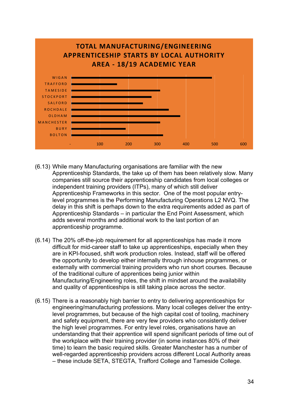

- (6.13) While many Manufacturing organisations are familiar with the new Apprenticeship Standards, the take up of them has been relatively slow. Many companies still source their apprenticeship candidates from local colleges or independent training providers (ITPs), many of which still deliver Apprenticeship Frameworks in this sector. One of the most popular entrylevel programmes is the Performing Manufacturing Operations L2 NVQ. The delay in this shift is perhaps down to the extra requirements added as part of Apprenticeship Standards – in particular the End Point Assessment, which adds several months and additional work to the last portion of an apprenticeship programme.
- (6.14) The 20% off-the-job requirement for all apprenticeships has made it more difficult for mid-career staff to take up apprenticeships, especially when they are in KPI-focused, shift work production roles. Instead, staff will be offered the opportunity to develop either internally through inhouse programmes, or externally with commercial training providers who run short courses. Because of the traditional culture of apprentices being junior within Manufacturing/Engineering roles, the shift in mindset around the availability and quality of apprenticeships is still taking place across the sector.
- (6.15) There is a reasonably high barrier to entry to delivering apprenticeships for engineering/manufacturing professions. Many local colleges deliver the entrylevel programmes, but because of the high capital cost of tooling, machinery and safety equipment, there are very few providers who consistently deliver the high level programmes. For entry level roles, organisations have an understanding that their apprentice will spend significant periods of time out of the workplace with their training provider (in some instances 80% of their time) to learn the basic required skills. Greater Manchester has a number of well-regarded apprenticeship providers across different Local Authority areas – these include SETA, STEGTA, Trafford College and Tameside College.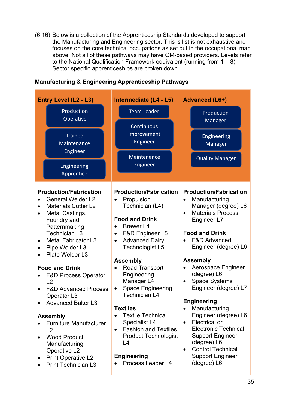(6.16) Below is a collection of the Apprenticeship Standards developed to support the Manufacturing and Engineering sector. This is list is not exhaustive and focuses on the core technical occupations as set out in the occupational map above. Not all of these pathways may have GM-based providers. Levels refer to the National Qualification Framework equivalent (running from  $1 - 8$ ). Sector specific apprenticeships are broken down.

| Entry Level (L2 - L3)                                                                                                                                                                                                                                                                                                                                                                                                                                                                                                                                                                                                                                  | Intermediate (L4 - L5)                                                                                                                                                                                                                                                                                                                                                                                                                                                                                                                                        | <b>Advanced (L6+)</b>                                                                                                                                                                                                                                                                                                                                                                                                                                                                                                                                                                                               |
|--------------------------------------------------------------------------------------------------------------------------------------------------------------------------------------------------------------------------------------------------------------------------------------------------------------------------------------------------------------------------------------------------------------------------------------------------------------------------------------------------------------------------------------------------------------------------------------------------------------------------------------------------------|---------------------------------------------------------------------------------------------------------------------------------------------------------------------------------------------------------------------------------------------------------------------------------------------------------------------------------------------------------------------------------------------------------------------------------------------------------------------------------------------------------------------------------------------------------------|---------------------------------------------------------------------------------------------------------------------------------------------------------------------------------------------------------------------------------------------------------------------------------------------------------------------------------------------------------------------------------------------------------------------------------------------------------------------------------------------------------------------------------------------------------------------------------------------------------------------|
| Production<br>Operative                                                                                                                                                                                                                                                                                                                                                                                                                                                                                                                                                                                                                                | <b>Team Leader</b>                                                                                                                                                                                                                                                                                                                                                                                                                                                                                                                                            | Production<br>Manager                                                                                                                                                                                                                                                                                                                                                                                                                                                                                                                                                                                               |
| <b>Trainee</b><br>Maintenance                                                                                                                                                                                                                                                                                                                                                                                                                                                                                                                                                                                                                          | Continuous<br>Improvement<br>Engineer                                                                                                                                                                                                                                                                                                                                                                                                                                                                                                                         | <b>Engineering</b><br>Manager                                                                                                                                                                                                                                                                                                                                                                                                                                                                                                                                                                                       |
| Engineer<br>Engineering<br>Apprentice                                                                                                                                                                                                                                                                                                                                                                                                                                                                                                                                                                                                                  | Maintenance<br>Engineer                                                                                                                                                                                                                                                                                                                                                                                                                                                                                                                                       | <b>Quality Manager</b>                                                                                                                                                                                                                                                                                                                                                                                                                                                                                                                                                                                              |
|                                                                                                                                                                                                                                                                                                                                                                                                                                                                                                                                                                                                                                                        |                                                                                                                                                                                                                                                                                                                                                                                                                                                                                                                                                               |                                                                                                                                                                                                                                                                                                                                                                                                                                                                                                                                                                                                                     |
| <b>Production/Fabrication</b><br><b>General Welder L2</b><br><b>Materials Cutter L2</b><br>$\bullet$<br>Metal Castings,<br>$\bullet$<br>Foundry and<br>Patternmaking<br><b>Technician L3</b><br><b>Metal Fabricator L3</b><br>Pipe Welder L3<br>$\bullet$<br>Plate Welder L3<br><b>Food and Drink</b><br><b>F&amp;D Process Operator</b><br>L2<br><b>F&amp;D Advanced Process</b><br>Operator L3<br><b>Advanced Baker L3</b><br>$\bullet$<br><b>Assembly</b><br><b>Furniture Manufacturer</b><br>L <sub>2</sub><br><b>Wood Product</b><br>Manufacturing<br><b>Operative L2</b><br><b>Print Operative L2</b><br>$\bullet$<br><b>Print Technician L3</b> | <b>Production/Fabrication</b><br>Propulsion<br>Technician (L4)<br><b>Food and Drink</b><br><b>Brewer L4</b><br>$\bullet$<br>F&D Engineer L5<br>$\bullet$<br><b>Advanced Dairy</b><br>$\bullet$<br>Technologist L5<br><b>Assembly</b><br>Road Transport<br>$\bullet$<br>Engineering<br>Manager L4<br><b>Space Engineering</b><br>$\bullet$<br><b>Technician L4</b><br><b>Textiles</b><br><b>Textile Technical</b><br>Specialist L4<br><b>Fashion and Textiles</b><br>$\bullet$<br><b>Product Technologist</b><br>L4<br><b>Engineering</b><br>Process Leader L4 | <b>Production/Fabrication</b><br>Manufacturing<br>$\bullet$<br>Manager (degree) L6<br><b>Materials Process</b><br>$\bullet$<br>Engineer L7<br><b>Food and Drink</b><br><b>F&amp;D Advanced</b><br>Engineer (degree) L6<br><b>Assembly</b><br>Aerospace Engineer<br>$\bullet$<br>(degree) L6<br><b>Space Systems</b><br>$\bullet$<br>Engineer (degree) L7<br><b>Engineering</b><br>• Manufacturing<br>Engineer (degree) L6<br>Electrical or<br>$\bullet$<br><b>Electronic Technical</b><br><b>Support Engineer</b><br>(degree) L6<br><b>Control Technical</b><br>$\bullet$<br><b>Support Engineer</b><br>(degree) L6 |

#### **Manufacturing & Engineering Apprenticeship Pathways**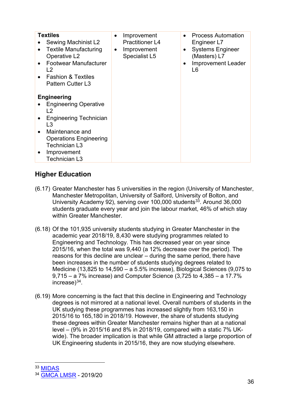| <b>Textiles</b><br>Sewing Machinist L2<br><b>Textile Manufacturing</b><br>Operative L <sub>2</sub><br><b>Footwear Manufacturer</b><br>$\overline{2}$<br><b>Fashion &amp; Textiles</b><br><b>Pattern Cutter L3</b> | $\bullet$<br>$\bullet$ | Improvement<br><b>Practitioner L4</b><br>Improvement<br><b>Specialist L5</b> | $\bullet$<br>$\bullet$ | <b>Process Automation</b><br>Engineer L7<br><b>Systems Engineer</b><br>(Masters) L7<br><b>Improvement Leader</b><br>L6 |
|-------------------------------------------------------------------------------------------------------------------------------------------------------------------------------------------------------------------|------------------------|------------------------------------------------------------------------------|------------------------|------------------------------------------------------------------------------------------------------------------------|
| <b>Engineering</b>                                                                                                                                                                                                |                        |                                                                              |                        |                                                                                                                        |
| <b>Engineering Operative</b><br>L2                                                                                                                                                                                |                        |                                                                              |                        |                                                                                                                        |
| <b>Engineering Technician</b><br>L3                                                                                                                                                                               |                        |                                                                              |                        |                                                                                                                        |
| Maintenance and<br><b>Operations Engineering</b><br>Technician L3<br>Improvement<br><b>Technician L3</b>                                                                                                          |                        |                                                                              |                        |                                                                                                                        |

#### **Higher Education**

- (6.17) Greater Manchester has 5 universities in the region (University of Manchester, Manchester Metropolitan, University of Salford, University of Bolton, and University Academy 92), serving over 100,000 students<sup>33</sup>. Around 36,000 students graduate every year and join the labour market, 46% of which stay within Greater Manchester.
- (6.18) Of the 101,935 university students studying in Greater Manchester in the academic year 2018/19, 8,430 were studying programmes related to Engineering and Technology. This has decreased year on year since 2015/16, when the total was 9,440 (a 12% decrease over the period). The reasons for this decline are unclear – during the same period, there have been increases in the number of students studying degrees related to Medicine (13,825 to 14,590 – a 5.5% increase), Biological Sciences (9,075 to 9,715 – a 7% increase) and Computer Science (3,725 to 4,385 – a 17.7% increase)[34.](#page-36-1)
- (6.19) More concerning is the fact that this decline in Engineering and Technology degrees is not mirrored at a national level. Overall numbers of students in the UK studying these programmes has increased slightly from 163,150 in 2015/16 to 165,180 in 2018/19. However, the share of students studying these degrees within Greater Manchester remains higher than at a national level – (9% in 2015/16 and 8% in 2018/19, compared with a static 7% UKwide). The broader implication is that while GM attracted a large proportion of UK Engineering students in 2015/16, they are now studying elsewhere.

<span id="page-36-1"></span><span id="page-36-0"></span><sup>&</sup>lt;sup>33</sup> MIDAS<br><sup>34</sup> [GMCA LMSR](https://www.greatermanchester-ca.gov.uk/what-we-do/research/research-work-and-skills/labour-market-and-skills-review/) - 2019/20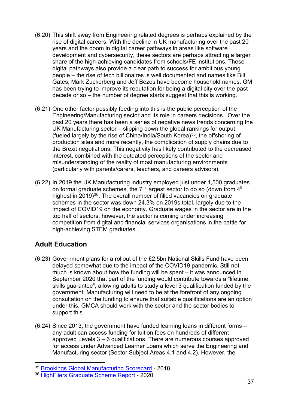- (6.20) This shift away from Engineering related degrees is perhaps explained by the rise of digital careers. With the decline in UK manufacturing over the past 20 years and the boom in digital career pathways in areas like software development and cybersecurity, these sectors are perhaps attracting a larger share of the high-achieving candidates from schools/FE institutions. These digital pathways also provide a clear path to success for ambitious young people – the rise of tech billionaires is well documented and names like Bill Gates, Mark Zuckerberg and Jeff Bezos have become household names. GM has been trying to improve its reputation for being a digital city over the past decade or so – the number of degree starts suggest that this is working.
- (6.21) One other factor possibly feeding into this is the public perception of the Engineering/Manufacturing sector and its role in careers decisions. Over the past 20 years there has been a series of negative news trends concerning the UK Manufacturing sector – slipping down the global rankings for output (fueled largely by the rise of China/India/South Korea)[35,](#page-37-0) the offshoring of production sites and more recently, the complication of supply chains due to the Brexit negotiations. This negativity has likely contributed to the decreased interest, combined with the outdated perceptions of the sector and misunderstanding of the reality of most manufacturing environments (particularly with parents/carers, teachers, and careers advisors).
- (6.22) In 2019 the UK Manufacturing industry employed just under 1,500 graduates on formal graduate schemes, the  $7<sup>th</sup>$  largest sector to do so (down from  $4<sup>th</sup>$ ) highest in 2019)<sup>36</sup>. The overall number of filled vacancies on graduate schemes in the sector was down 24.3% on 2019s total, largely due to the impact of COVID19 on the economy. Graduate wages in the sector are in the top half of sectors, however, the sector is coming under increasing competition from digital and financial services organisations in the battle for high-achieving STEM graduates.

#### **Adult Education**

- (6.23) Government plans for a rollout of the £2.5bn National Skills Fund have been delayed somewhat due to the impact of the COVID19 pandemic. Still not much is known about how the funding will be spent – it was announced in September 2020 that part of the funding would contribute towards a "lifetime skills guarantee", allowing adults to study a level 3 qualification funded by the government. Manufacturing will need to be at the forefront of any ongoing consultation on the funding to ensure that suitable qualifications are an option under this. GMCA should work with the sector and the sector bodies to support this.
- (6.24) Since 2013, the government have funded learning loans in different forms any adult can access funding for tuition fees on hundreds of different approved Levels 3 – 6 qualifications. There are numerous courses approved for access under Advanced Learner Loans which serve the Engineering and Manufacturing sector (Sector Subject Areas 4.1 and 4.2). However, the

<span id="page-37-0"></span><sup>35</sup> [Brookings Global Manufacturing Scorecard](https://www.brookings.edu/research/global-manufacturing-scorecard-how-the-us-compares-to-18-other-nations/) - 2018

<span id="page-37-1"></span><sup>36</sup> [HighFliers Graduate Scheme Report](https://www.highfliers.co.uk/download/2020/graduate_market/GM20Review.pdf) - 2020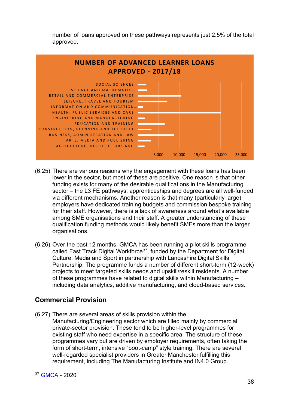number of loans approved on these pathways represents just 2.5% of the total approved.



- (6.25) There are various reasons why the engagement with these loans has been lower in the sector, but most of these are positive. One reason is that other funding exists for many of the desirable qualifications in the Manufacturing sector – the L3 FE pathways, apprenticeships and degrees are all well-funded via different mechanisms. Another reason is that many (particularly large) employers have dedicated training budgets and commission bespoke training for their staff. However, there is a lack of awareness around what's available among SME organisations and their staff. A greater understanding of these qualification funding methods would likely benefit SMEs more than the larger organisations.
- (6.26) Over the past 12 months, GMCA has been running a pilot skills programme called Fast Track Digital Workforce<sup>[37](#page-38-0)</sup>, funded by the Department for Digital, Culture, Media and Sport in partnership with Lancashire Digital Skills Partnership. The programme funds a number of different short-term (12-week) projects to meet targeted skills needs and upskill/reskill residents. A number of these programmes have related to digital skills within Manufacturing – including data analytics, additive manufacturing, and cloud-based services.

#### **Commercial Provision**

(6.27) There are several areas of skills provision within the Manufacturing/Engineering sector which are filled mainly by commercial private-sector provision. These tend to be higher-level programmes for existing staff who need expertise in a specific area. The structure of these programmes vary but are driven by employer requirements, often taking the form of short-term, intensive "boot-camp" style training. There are several well-regarded specialist providers in Greater Manchester fulfilling this requirement, including The Manufacturing Institute and IN4.0 Group.

<span id="page-38-0"></span><sup>37</sup> **GMCA** - 2020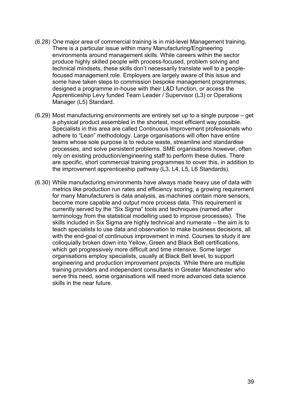- (6.28) One major area of commercial training is in mid-level Management training. There is a particular issue within many Manufacturing/Engineering environments around management skills. While careers within the sector produce highly skilled people with process-focused, problem solving and technical mindsets, these skills don't necessarily translate well to a peoplefocused management role. Employers are largely aware of this issue and some have taken steps to commission bespoke management programmes, designed a programme in-house with their L&D function, or access the Apprenticeship Levy funded Team Leader / Supervisor (L3) or Operations Manager (L5) Standard.
- (6.29) Most manufacturing environments are entirely set up to a single purpose ge t a physical product assembled in the shortest, most efficient way possible. Specialists in this area are called Continuous Improvement professionals who adhere to "Lean" methodology. Large organisations will often have entire teams whose sole purpose is to reduce waste, streamline and standardise processes, and solve persistent problems. SME organisations however, often rely on existing production/engineering staff to perform these duties. There are specific, short commercial training programmes to cover this, in addition t o the improvement apprenticeship pathway (L3, L4, L5, L6 Standards).
- (6.30) While manufacturing environments have always made heavy use of data with metrics like production run rates and efficiency scoring, a growing requiremen t for many Manufacturers is data analysis, as machines contain more sensors, become more capable and output more process data. This requirement is currently served by the "Six Sigma" tools and techniques (named after terminology from the statistical modelling used to improve processes). The skills included in Six Sigma are highly technical and numerate – the aim is to teach specialists to use data and observation to make business decisions, all with the end-goal of continuous improvement in mind. Courses to study it are colloquially broken down into Yellow, Green and Black Belt certifications, which get progressively more difficult and time intensive. Some larger organisations employ specialists, usually at Black Belt level, to support engineering and production improvement projects. While there are multiple training providers and independent consultants in Greater Manchester who serve this need, some organisations will need more advanced data science skills in the near future.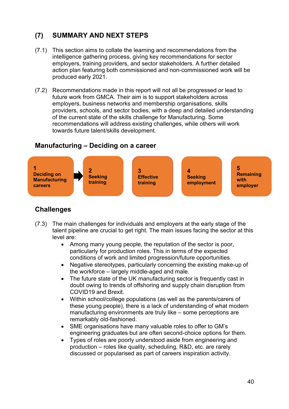## **(7) SUMMARY AND NEXT STEPS**

- (7.1) This section aims to collate the learning and recommendations from the intelligence gathering process, giving key recommendations for sector employers, training providers, and sector stakeholders. A further detailed action plan featuring both commissioned and non-commissioned work will be produced early 2021.
- (7.2) Recommendations made in this report will not all be progressed or lead to future work from GMCA. Their aim is to support stakeholders across employers, business networks and membership organisations, skills providers, schools, and sector bodies, with a deep and detailed understanding of the current state of the skills challenge for Manufacturing. Some recommendations will address existing challenges, while others will work towards future talent/skills development.

#### **Manufacturing – Deciding on a career**



#### **Challenges**

- (7.3) The main challenges for individuals and employers at the early stage of the talent pipeline are crucial to get right. The main issues facing the sector at this level are:
	- Among many young people, the reputation of the sector is poor, particularly for production roles. This in terms of the expected conditions of work and limited progression/future opportunities.
	- Negative stereotypes, particularly concerning the existing make-up of the workforce – largely middle-aged and male.
	- The future state of the UK manufacturing sector is frequently cast in doubt owing to trends of offshoring and supply chain disruption from COVID19 and Brexit.
	- Within school/college populations (as well as the parents/carers of these young people), there is a lack of understanding of what modern manufacturing environments are truly like – some perceptions are remarkably old-fashioned.
	- SME organisations have many valuable roles to offer to GM's engineering graduates but are often second-choice options for them.
	- Types of roles are poorly understood aside from engineering and production – roles like quality, scheduling, R&D, etc. are rarely discussed or popularised as part of careers inspiration activity.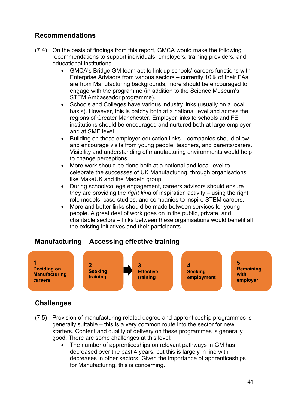#### **Recommendations**

- (7.4) On the basis of findings from this report, GMCA would make the following recommendations to support individuals, employers, training providers, and educational institutions:
	- GMCA's Bridge GM team act to link up schools' careers functions with Enterprise Advisors from various sectors – currently 10% of their EAs are from Manufacturing backgrounds, more should be encouraged to engage with the programme (in addition to the Science Museum's STEM Ambassador programme).
	- Schools and Colleges have various industry links (usually on a local basis). However, this is patchy both at a national level and across the regions of Greater Manchester. Employer links to schools and FE institutions should be encouraged and nurtured both at large employer and at SME level.
	- Building on these employer-education links companies should allow and encourage visits from young people, teachers, and parents/carers. Visibility and understanding of manufacturing environments would help to change perceptions.
	- More work should be done both at a national and local level to celebrate the successes of UK Manufacturing, through organisations like MakeUK and the MadeIn group.
	- During school/college engagement, careers advisors should ensure they are providing the *right kind* of inspiration activity – using the right role models, case studies, and companies to inspire STEM careers.
	- More and better links should be made between services for young people. A great deal of work goes on in the public, private, and charitable sectors – links between these organisations would benefit all the existing initiatives and their participants.

#### **Manufacturing – Accessing effective training**



#### **Challenges**

- (7.5) Provision of manufacturing related degree and apprenticeship programmes is generally suitable – this is a very common route into the sector for new starters. Content and quality of delivery on these programmes is generally good. There are some challenges at this level:
	- The number of apprenticeships on relevant pathways in GM has decreased over the past 4 years, but this is largely in line with decreases in other sectors. Given the importance of apprenticeships for Manufacturing, this is concerning.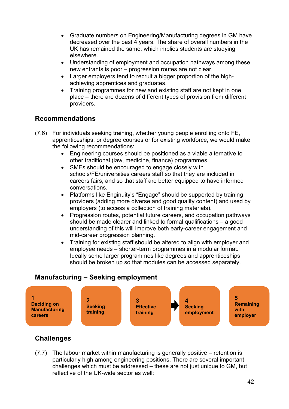- Graduate numbers on Engineering/Manufacturing degrees in GM have decreased over the past 4 years. The share of overall numbers in the UK has remained the same, which implies students are studying elsewhere.
- Understanding of employment and occupation pathways among these new entrants is poor – progression routes are not clear.
- Larger employers tend to recruit a bigger proportion of the highachieving apprentices and graduates.
- Training programmes for new and existing staff are not kept in one place – there are dozens of different types of provision from different providers.

#### **Recommendations**

- (7.6) For individuals seeking training, whether young people enrolling onto FE, apprenticeships, or degree courses or for existing workforce, we would make the following recommendations:
	- Engineering courses should be positioned as a viable alternative to other traditional (law, medicine, finance) programmes.
	- SMEs should be encouraged to engage closely with schools/FE/universities careers staff so that they are included in careers fairs, and so that staff are better equipped to have informed conversations.
	- Platforms like Enginuity's "Engage" should be supported by training providers (adding more diverse and good quality content) and used by employers (to access a collection of training materials).
	- Progression routes, potential future careers, and occupation pathways should be made clearer and linked to formal qualifications – a good understanding of this will improve both early-career engagement and mid-career progression planning.
	- Training for existing staff should be altered to align with employer and employee needs – shorter-term programmes in a modular format. Ideally some larger programmes like degrees and apprenticeships should be broken up so that modules can be accessed separately.

#### **Manufacturing – Seeking employment**



#### **Challenges**

(7.7) The labour market within manufacturing is generally positive – retention is particularly high among engineering positions. There are several important challenges which must be addressed – these are not just unique to GM, but reflective of the UK-wide sector as well: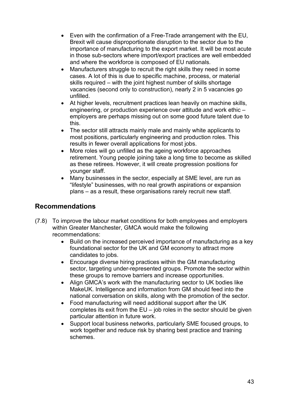- Even with the confirmation of a Free-Trade arrangement with the EU, Brexit will cause disproportionate disruption to the sector due to the importance of manufacturing to the export market. It will be most acute in those sub-sectors where import/export practices are well embedded and where the workforce is composed of EU nationals.
- Manufacturers struggle to recruit the right skills they need in some cases. A lot of this is due to specific machine, process, or material skills required – with the joint highest number of skills shortage vacancies (second only to construction), nearly 2 in 5 vacancies go unfilled.
- At higher levels, recruitment practices lean heavily on machine skills, engineering, or production experience over attitude and work ethic – employers are perhaps missing out on some good future talent due to this.
- The sector still attracts mainly male and mainly white applicants to most positions, particularly engineering and production roles. This results in fewer overall applications for most jobs.
- More roles will go unfilled as the ageing workforce approaches retirement. Young people joining take a long time to become as skilled as these retirees. However, it will create progression positions for younger staff.
- Many businesses in the sector, especially at SME level, are run as "lifestyle" businesses, with no real growth aspirations or expansion plans – as a result, these organisations rarely recruit new staff.

#### **Recommendations**

- (7.8) To improve the labour market conditions for both employees and employers within Greater Manchester, GMCA would make the following recommendations:
	- Build on the increased perceived importance of manufacturing as a key foundational sector for the UK and GM economy to attract more candidates to jobs.
	- Encourage diverse hiring practices within the GM manufacturing sector, targeting under-represented groups. Promote the sector within these groups to remove barriers and increase opportunities.
	- Align GMCA's work with the manufacturing sector to UK bodies like MakeUK. Intelligence and information from GM should feed into the national conversation on skills, along with the promotion of the sector.
	- Food manufacturing will need additional support after the UK completes its exit from the  $EU - job$  roles in the sector should be given particular attention in future work.
	- Support local business networks, particularly SME focused groups, to work together and reduce risk by sharing best practice and training schemes.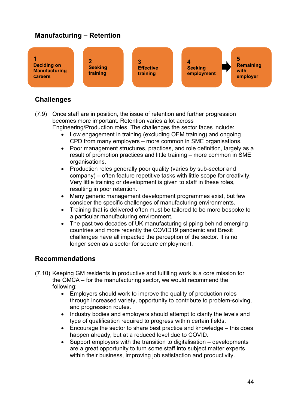#### **Manufacturing – Retention**



#### **Challenges**

- (7.9) Once staff are in position, the issue of retention and further progression becomes more important. Retention varies a lot across Engineering/Production roles. The challenges the sector faces include:
	- Low engagement in training (excluding OEM training) and ongoing CPD from many employers – more common in SME organisations.
	- Poor management structures, practices, and role definition, largely as a result of promotion practices and little training – more common in SME organisations.
	- Production roles generally poor quality (varies by sub-sector and company) – often feature repetitive tasks with little scope for creativity. Very little training or development is given to staff in these roles, resulting in poor retention.
	- Many generic management development programmes exist, but few consider the specific challenges of manufacturing environments.
	- Training that is delivered often must be tailored to be more bespoke to a particular manufacturing environment.
	- The past two decades of UK manufacturing slipping behind emerging countries and more recently the COVID19 pandemic and Brexit challenges have all impacted the perception of the sector. It is no longer seen as a sector for secure employment.

#### **Recommendations**

- (7.10) Keeping GM residents in productive and fulfilling work is a core mission for the GMCA – for the manufacturing sector, we would recommend the following:
	- Employers should work to improve the quality of production roles through increased variety, opportunity to contribute to problem-solving, and progression routes.
	- Industry bodies and employers should attempt to clarify the levels and type of qualification required to progress within certain fields.
	- Encourage the sector to share best practice and knowledge this does happen already, but at a reduced level due to COVID.
	- Support employers with the transition to digitalisation developments are a great opportunity to turn some staff into subject matter experts within their business, improving job satisfaction and productivity.